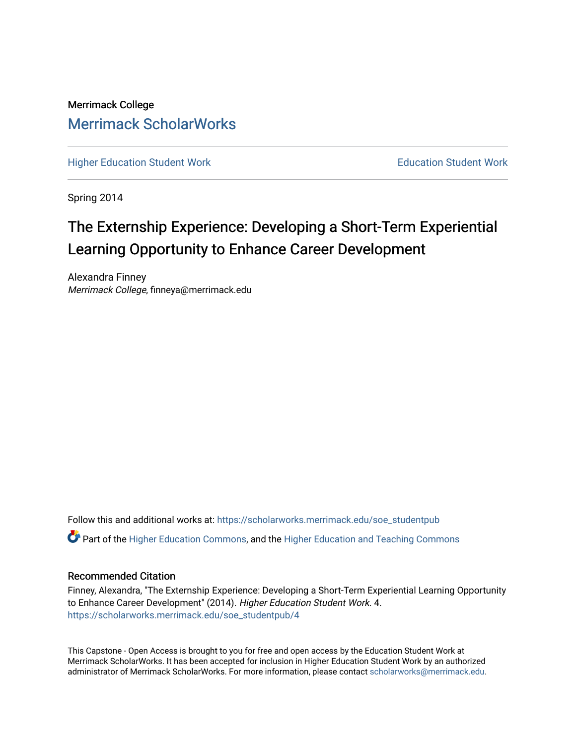# Merrimack College [Merrimack ScholarWorks](https://scholarworks.merrimack.edu/)

[Higher Education Student Work](https://scholarworks.merrimack.edu/soe_studentpub) **Education Student Work** Education Student Work

Spring 2014

# The Externship Experience: Developing a Short-Term Experiential Learning Opportunity to Enhance Career Development

Alexandra Finney Merrimack College, finneya@merrimack.edu

Follow this and additional works at: [https://scholarworks.merrimack.edu/soe\\_studentpub](https://scholarworks.merrimack.edu/soe_studentpub?utm_source=scholarworks.merrimack.edu%2Fsoe_studentpub%2F4&utm_medium=PDF&utm_campaign=PDFCoverPages) 

 $\bullet$  Part of the [Higher Education Commons,](http://network.bepress.com/hgg/discipline/1245?utm_source=scholarworks.merrimack.edu%2Fsoe_studentpub%2F4&utm_medium=PDF&utm_campaign=PDFCoverPages) and the Higher Education and Teaching Commons

#### Recommended Citation

Finney, Alexandra, "The Externship Experience: Developing a Short-Term Experiential Learning Opportunity to Enhance Career Development" (2014). Higher Education Student Work. 4. [https://scholarworks.merrimack.edu/soe\\_studentpub/4](https://scholarworks.merrimack.edu/soe_studentpub/4?utm_source=scholarworks.merrimack.edu%2Fsoe_studentpub%2F4&utm_medium=PDF&utm_campaign=PDFCoverPages) 

This Capstone - Open Access is brought to you for free and open access by the Education Student Work at Merrimack ScholarWorks. It has been accepted for inclusion in Higher Education Student Work by an authorized administrator of Merrimack ScholarWorks. For more information, please contact [scholarworks@merrimack.edu](mailto:scholarworks@merrimack.edu).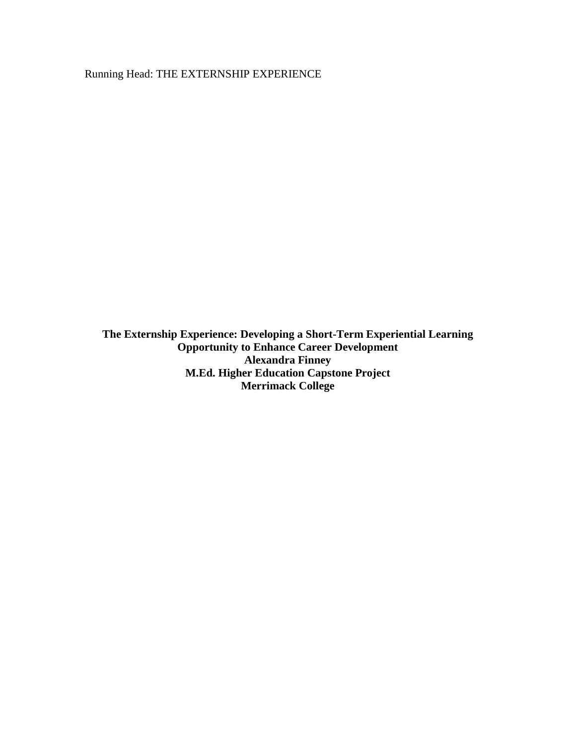Running Head: THE EXTERNSHIP EXPERIENCE

**The Externship Experience: Developing a Short-Term Experiential Learning Opportunity to Enhance Career Development Alexandra Finney M.Ed. Higher Education Capstone Project Merrimack College**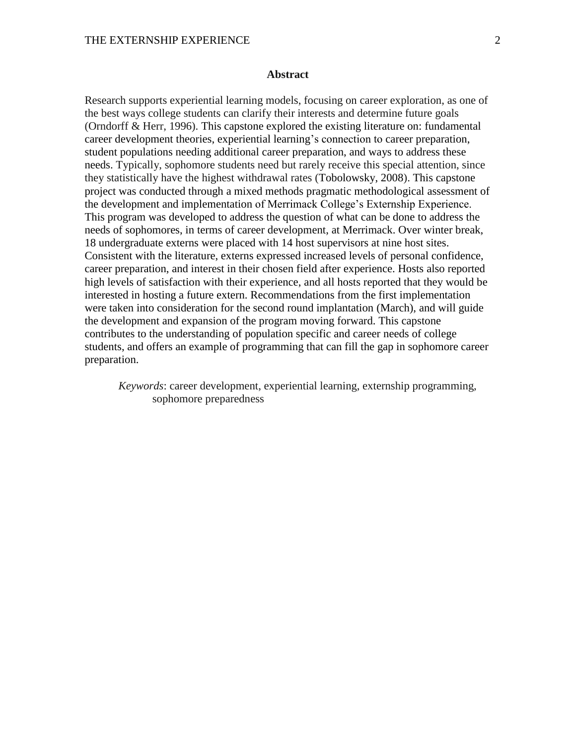#### **Abstract**

Research supports experiential learning models, focusing on career exploration, as one of the best ways college students can clarify their interests and determine future goals (Orndorff & Herr, 1996). This capstone explored the existing literature on: fundamental career development theories, experiential learning's connection to career preparation, student populations needing additional career preparation, and ways to address these needs. Typically, sophomore students need but rarely receive this special attention, since they statistically have the highest withdrawal rates (Tobolowsky, 2008). This capstone project was conducted through a mixed methods pragmatic methodological assessment of the development and implementation of Merrimack College's Externship Experience. This program was developed to address the question of what can be done to address the needs of sophomores, in terms of career development, at Merrimack. Over winter break, 18 undergraduate externs were placed with 14 host supervisors at nine host sites. Consistent with the literature, externs expressed increased levels of personal confidence, career preparation, and interest in their chosen field after experience. Hosts also reported high levels of satisfaction with their experience, and all hosts reported that they would be interested in hosting a future extern. Recommendations from the first implementation were taken into consideration for the second round implantation (March), and will guide the development and expansion of the program moving forward. This capstone contributes to the understanding of population specific and career needs of college students, and offers an example of programming that can fill the gap in sophomore career preparation.

*Keywords*: career development, experiential learning, externship programming, sophomore preparedness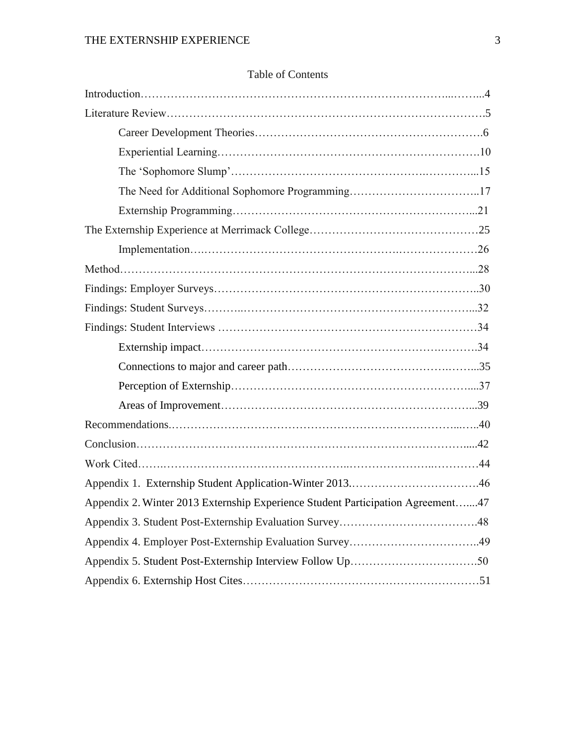| Appendix 2. Winter 2013 Externship Experience Student Participation Agreement47 |  |
|---------------------------------------------------------------------------------|--|
|                                                                                 |  |
|                                                                                 |  |
|                                                                                 |  |
|                                                                                 |  |

# Table of Contents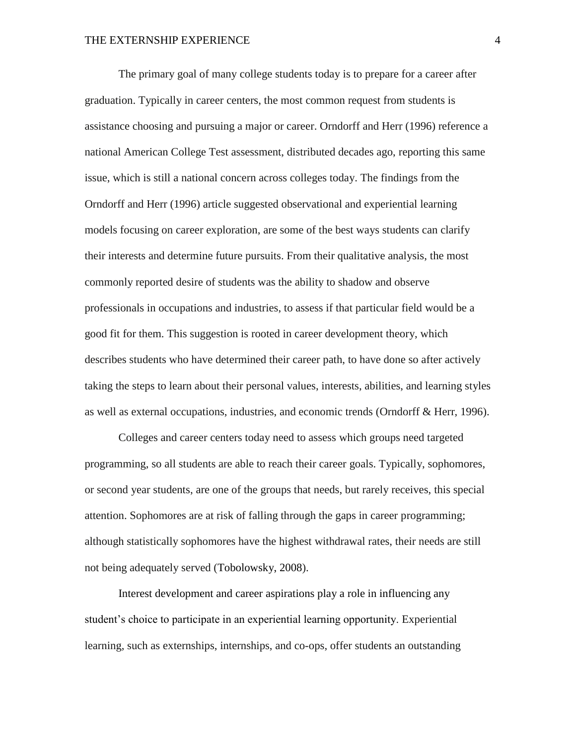The primary goal of many college students today is to prepare for a career after graduation. Typically in career centers, the most common request from students is assistance choosing and pursuing a major or career. Orndorff and Herr (1996) reference a national American College Test assessment, distributed decades ago, reporting this same issue, which is still a national concern across colleges today. The findings from the Orndorff and Herr (1996) article suggested observational and experiential learning models focusing on career exploration, are some of the best ways students can clarify their interests and determine future pursuits. From their qualitative analysis, the most commonly reported desire of students was the ability to shadow and observe professionals in occupations and industries, to assess if that particular field would be a good fit for them. This suggestion is rooted in career development theory, which describes students who have determined their career path, to have done so after actively taking the steps to learn about their personal values, interests, abilities, and learning styles as well as external occupations, industries, and economic trends (Orndorff & Herr, 1996).

Colleges and career centers today need to assess which groups need targeted programming, so all students are able to reach their career goals. Typically, sophomores, or second year students, are one of the groups that needs, but rarely receives, this special attention. Sophomores are at risk of falling through the gaps in career programming; although statistically sophomores have the highest withdrawal rates, their needs are still not being adequately served (Tobolowsky, 2008).

Interest development and career aspirations play a role in influencing any student's choice to participate in an experiential learning opportunity. Experiential learning, such as externships, internships, and co-ops, offer students an outstanding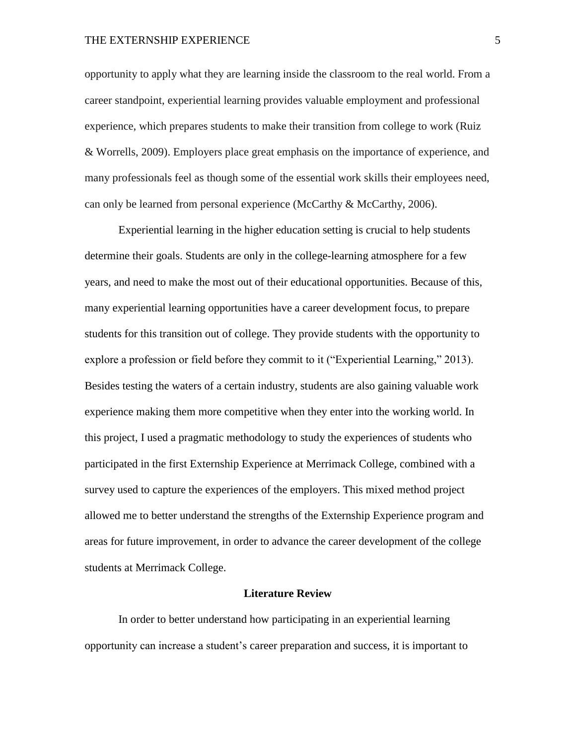opportunity to apply what they are learning inside the classroom to the real world. From a career standpoint, experiential learning provides valuable employment and professional experience, which prepares students to make their transition from college to work (Ruiz & Worrells, 2009). Employers place great emphasis on the importance of experience, and many professionals feel as though some of the essential work skills their employees need, can only be learned from personal experience (McCarthy & McCarthy, 2006).

Experiential learning in the higher education setting is crucial to help students determine their goals. Students are only in the college-learning atmosphere for a few years, and need to make the most out of their educational opportunities. Because of this, many experiential learning opportunities have a career development focus, to prepare students for this transition out of college. They provide students with the opportunity to explore a profession or field before they commit to it ("Experiential Learning," 2013). Besides testing the waters of a certain industry, students are also gaining valuable work experience making them more competitive when they enter into the working world. In this project, I used a pragmatic methodology to study the experiences of students who participated in the first Externship Experience at Merrimack College, combined with a survey used to capture the experiences of the employers. This mixed method project allowed me to better understand the strengths of the Externship Experience program and areas for future improvement, in order to advance the career development of the college students at Merrimack College.

#### **Literature Review**

In order to better understand how participating in an experiential learning opportunity can increase a student's career preparation and success, it is important to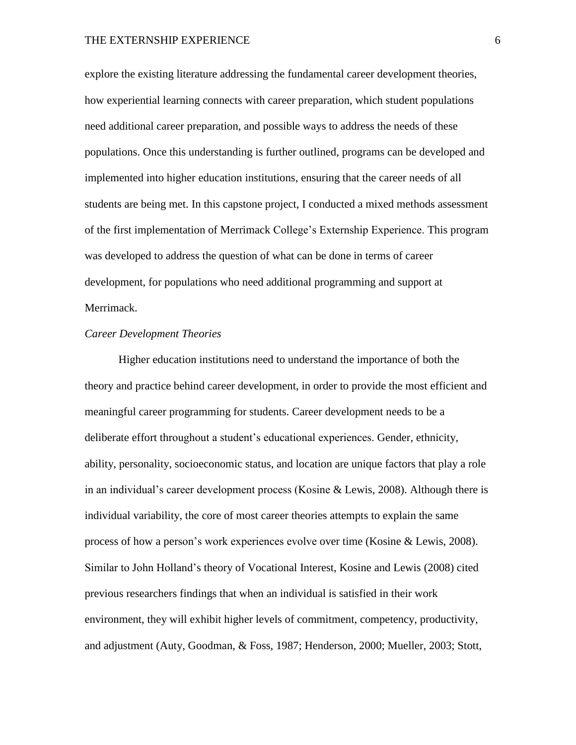explore the existing literature addressing the fundamental career development theories, how experiential learning connects with career preparation, which student populations need additional career preparation, and possible ways to address the needs of these populations. Once this understanding is further outlined, programs can be developed and implemented into higher education institutions, ensuring that the career needs of all students are being met. In this capstone project, I conducted a mixed methods assessment of the first implementation of Merrimack College's Externship Experience. This program was developed to address the question of what can be done in terms of career development, for populations who need additional programming and support at Merrimack.

#### *Career Development Theories*

Higher education institutions need to understand the importance of both the theory and practice behind career development, in order to provide the most efficient and meaningful career programming for students. Career development needs to be a deliberate effort throughout a student's educational experiences. Gender, ethnicity, ability, personality, socioeconomic status, and location are unique factors that play a role in an individual's career development process (Kosine & Lewis, 2008). Although there is individual variability, the core of most career theories attempts to explain the same process of how a person's work experiences evolve over time (Kosine & Lewis, 2008). Similar to John Holland's theory of Vocational Interest, Kosine and Lewis (2008) cited previous researchers findings that when an individual is satisfied in their work environment, they will exhibit higher levels of commitment, competency, productivity, and adjustment (Auty, Goodman, & Foss, 1987; Henderson, 2000; Mueller, 2003; Stott,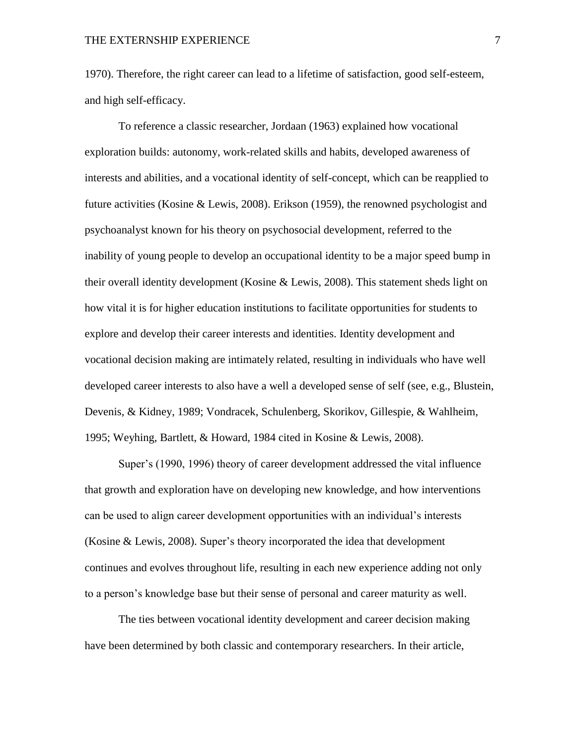1970). Therefore, the right career can lead to a lifetime of satisfaction, good self-esteem, and high self-efficacy.

To reference a classic researcher, Jordaan (1963) explained how vocational exploration builds: autonomy, work-related skills and habits, developed awareness of interests and abilities, and a vocational identity of self-concept, which can be reapplied to future activities (Kosine & Lewis, 2008). Erikson (1959), the renowned psychologist and psychoanalyst known for his theory on psychosocial development, referred to the inability of young people to develop an occupational identity to be a major speed bump in their overall identity development (Kosine & Lewis, 2008). This statement sheds light on how vital it is for higher education institutions to facilitate opportunities for students to explore and develop their career interests and identities. Identity development and vocational decision making are intimately related, resulting in individuals who have well developed career interests to also have a well a developed sense of self (see, e.g., Blustein, Devenis, & Kidney, 1989; Vondracek, Schulenberg, Skorikov, Gillespie, & Wahlheim, 1995; Weyhing, Bartlett, & Howard, 1984 cited in Kosine & Lewis, 2008).

Super's (1990, 1996) theory of career development addressed the vital influence that growth and exploration have on developing new knowledge, and how interventions can be used to align career development opportunities with an individual's interests (Kosine & Lewis, 2008). Super's theory incorporated the idea that development continues and evolves throughout life, resulting in each new experience adding not only to a person's knowledge base but their sense of personal and career maturity as well.

The ties between vocational identity development and career decision making have been determined by both classic and contemporary researchers. In their article,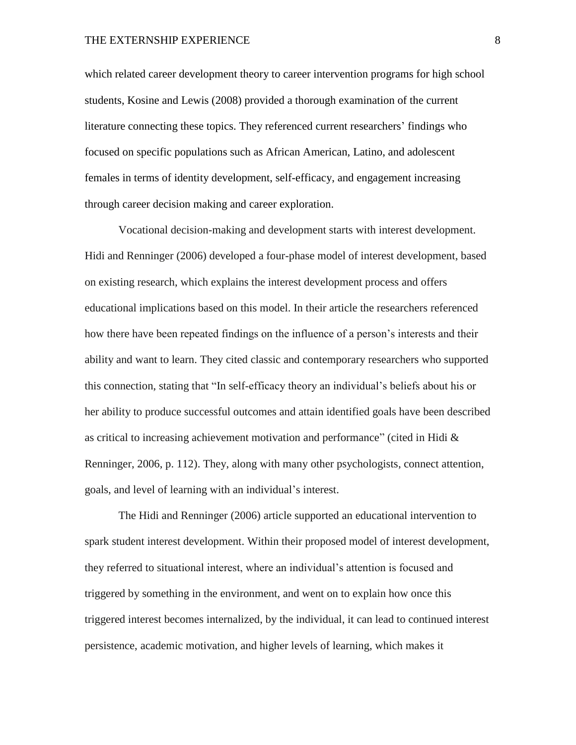which related career development theory to career intervention programs for high school students, Kosine and Lewis (2008) provided a thorough examination of the current literature connecting these topics. They referenced current researchers' findings who focused on specific populations such as African American, Latino, and adolescent females in terms of identity development, self-efficacy, and engagement increasing through career decision making and career exploration.

Vocational decision-making and development starts with interest development. Hidi and Renninger (2006) developed a four-phase model of interest development, based on existing research, which explains the interest development process and offers educational implications based on this model. In their article the researchers referenced how there have been repeated findings on the influence of a person's interests and their ability and want to learn. They cited classic and contemporary researchers who supported this connection, stating that "In self-efficacy theory an individual's beliefs about his or her ability to produce successful outcomes and attain identified goals have been described as critical to increasing achievement motivation and performance" (cited in Hidi  $\&$ Renninger, 2006, p. 112). They, along with many other psychologists, connect attention, goals, and level of learning with an individual's interest.

The Hidi and Renninger (2006) article supported an educational intervention to spark student interest development. Within their proposed model of interest development, they referred to situational interest, where an individual's attention is focused and triggered by something in the environment, and went on to explain how once this triggered interest becomes internalized, by the individual, it can lead to continued interest persistence, academic motivation, and higher levels of learning, which makes it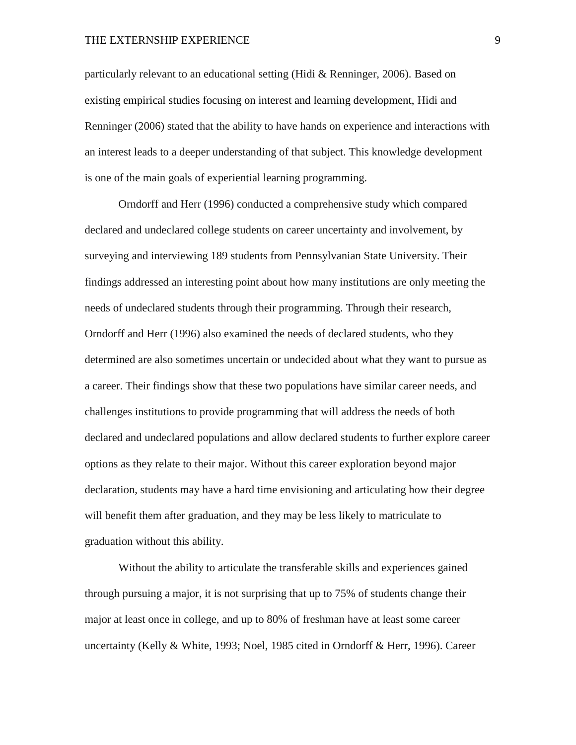particularly relevant to an educational setting (Hidi & Renninger, 2006). Based on existing empirical studies focusing on interest and learning development, Hidi and Renninger (2006) stated that the ability to have hands on experience and interactions with an interest leads to a deeper understanding of that subject. This knowledge development is one of the main goals of experiential learning programming.

Orndorff and Herr (1996) conducted a comprehensive study which compared declared and undeclared college students on career uncertainty and involvement, by surveying and interviewing 189 students from Pennsylvanian State University. Their findings addressed an interesting point about how many institutions are only meeting the needs of undeclared students through their programming. Through their research, Orndorff and Herr (1996) also examined the needs of declared students, who they determined are also sometimes uncertain or undecided about what they want to pursue as a career. Their findings show that these two populations have similar career needs, and challenges institutions to provide programming that will address the needs of both declared and undeclared populations and allow declared students to further explore career options as they relate to their major. Without this career exploration beyond major declaration, students may have a hard time envisioning and articulating how their degree will benefit them after graduation, and they may be less likely to matriculate to graduation without this ability.

Without the ability to articulate the transferable skills and experiences gained through pursuing a major, it is not surprising that up to 75% of students change their major at least once in college, and up to 80% of freshman have at least some career uncertainty (Kelly & White, 1993; Noel, 1985 cited in Orndorff & Herr, 1996). Career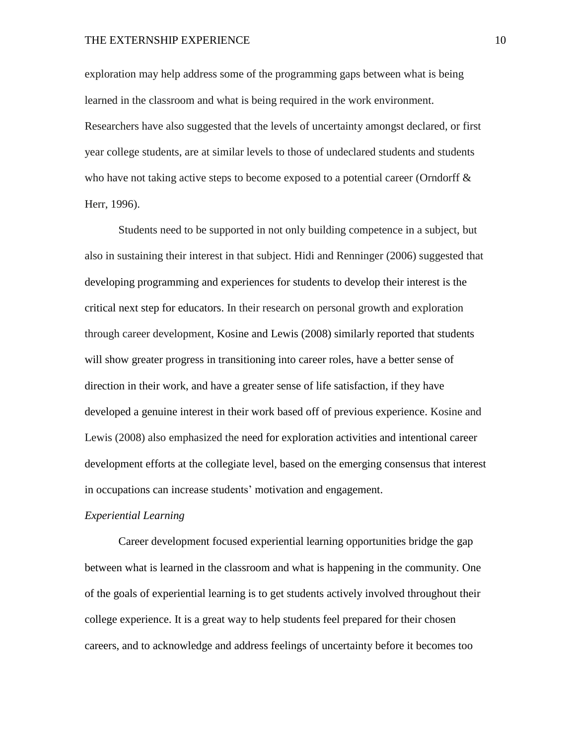exploration may help address some of the programming gaps between what is being learned in the classroom and what is being required in the work environment. Researchers have also suggested that the levels of uncertainty amongst declared, or first year college students, are at similar levels to those of undeclared students and students who have not taking active steps to become exposed to a potential career (Orndorff  $\&$ Herr, 1996).

Students need to be supported in not only building competence in a subject, but also in sustaining their interest in that subject. Hidi and Renninger (2006) suggested that developing programming and experiences for students to develop their interest is the critical next step for educators. In their research on personal growth and exploration through career development, Kosine and Lewis (2008) similarly reported that students will show greater progress in transitioning into career roles, have a better sense of direction in their work, and have a greater sense of life satisfaction, if they have developed a genuine interest in their work based off of previous experience. Kosine and Lewis (2008) also emphasized the need for exploration activities and intentional career development efforts at the collegiate level, based on the emerging consensus that interest in occupations can increase students' motivation and engagement.

#### *Experiential Learning*

Career development focused experiential learning opportunities bridge the gap between what is learned in the classroom and what is happening in the community. One of the goals of experiential learning is to get students actively involved throughout their college experience. It is a great way to help students feel prepared for their chosen careers, and to acknowledge and address feelings of uncertainty before it becomes too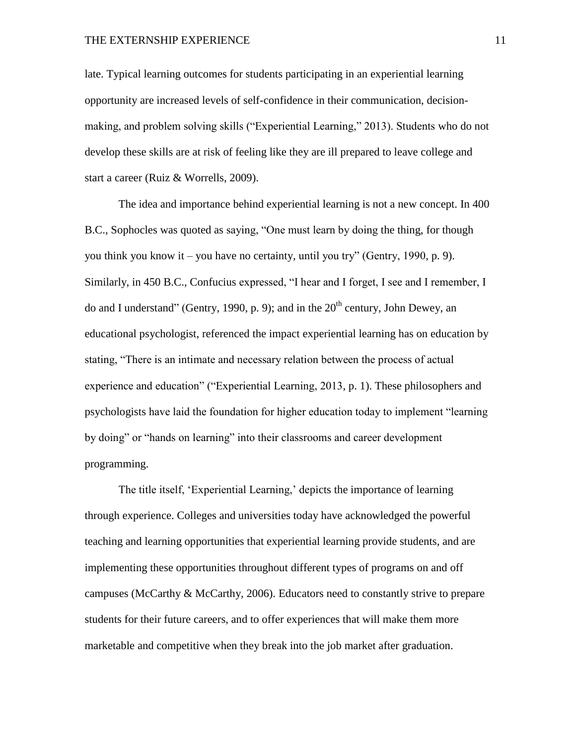late. Typical learning outcomes for students participating in an experiential learning opportunity are increased levels of self-confidence in their communication, decisionmaking, and problem solving skills ("Experiential Learning," 2013). Students who do not develop these skills are at risk of feeling like they are ill prepared to leave college and start a career (Ruiz & Worrells, 2009).

The idea and importance behind experiential learning is not a new concept. In 400 B.C., Sophocles was quoted as saying, "One must learn by doing the thing, for though you think you know it – you have no certainty, until you try" (Gentry, 1990, p. 9). Similarly, in 450 B.C., Confucius expressed, "I hear and I forget, I see and I remember, I do and I understand" (Gentry, 1990, p. 9); and in the  $20<sup>th</sup>$  century, John Dewey, an educational psychologist, referenced the impact experiential learning has on education by stating, "There is an intimate and necessary relation between the process of actual experience and education" ("Experiential Learning, 2013, p. 1). These philosophers and psychologists have laid the foundation for higher education today to implement "learning by doing" or "hands on learning" into their classrooms and career development programming.

The title itself, 'Experiential Learning,' depicts the importance of learning through experience. Colleges and universities today have acknowledged the powerful teaching and learning opportunities that experiential learning provide students, and are implementing these opportunities throughout different types of programs on and off campuses (McCarthy & McCarthy, 2006). Educators need to constantly strive to prepare students for their future careers, and to offer experiences that will make them more marketable and competitive when they break into the job market after graduation.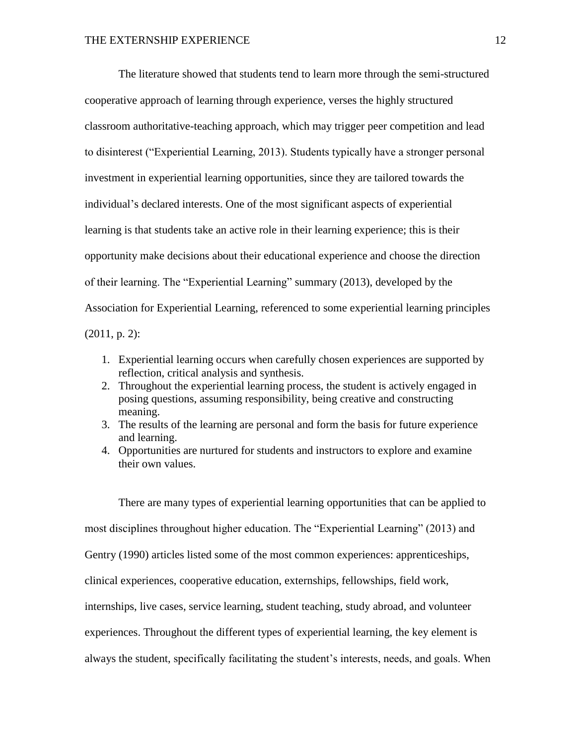The literature showed that students tend to learn more through the semi-structured cooperative approach of learning through experience, verses the highly structured classroom authoritative-teaching approach, which may trigger peer competition and lead to disinterest ("Experiential Learning, 2013). Students typically have a stronger personal investment in experiential learning opportunities, since they are tailored towards the individual's declared interests. One of the most significant aspects of experiential learning is that students take an active role in their learning experience; this is their opportunity make decisions about their educational experience and choose the direction of their learning. The "Experiential Learning" summary (2013), developed by the Association for Experiential Learning, referenced to some experiential learning principles (2011, p. 2):

- 1. Experiential learning occurs when carefully chosen experiences are supported by reflection, critical analysis and synthesis.
- 2. Throughout the experiential learning process, the student is actively engaged in posing questions, assuming responsibility, being creative and constructing meaning.
- 3. The results of the learning are personal and form the basis for future experience and learning.
- 4. Opportunities are nurtured for students and instructors to explore and examine their own values.

There are many types of experiential learning opportunities that can be applied to most disciplines throughout higher education. The "Experiential Learning" (2013) and Gentry (1990) articles listed some of the most common experiences: apprenticeships, clinical experiences, cooperative education, externships, fellowships, field work, internships, live cases, service learning, student teaching, study abroad, and volunteer experiences. Throughout the different types of experiential learning, the key element is always the student, specifically facilitating the student's interests, needs, and goals. When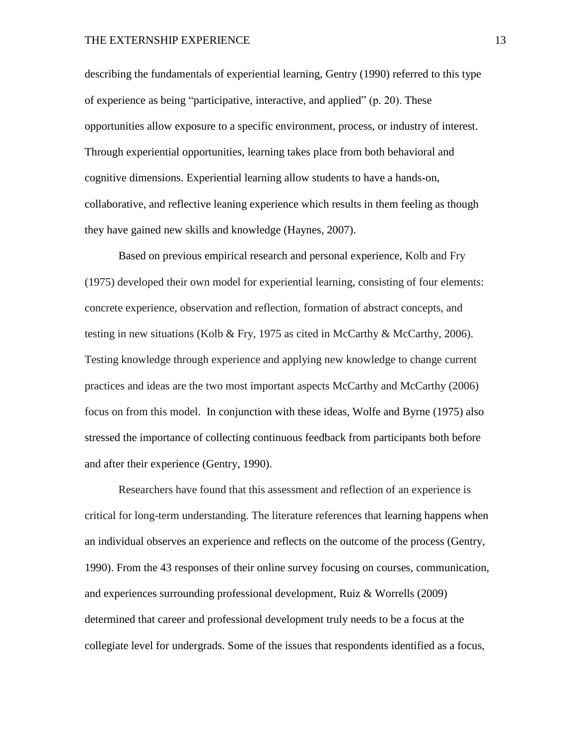describing the fundamentals of experiential learning, Gentry (1990) referred to this type of experience as being "participative, interactive, and applied" (p. 20). These opportunities allow exposure to a specific environment, process, or industry of interest. Through experiential opportunities, learning takes place from both behavioral and cognitive dimensions. Experiential learning allow students to have a hands-on, collaborative, and reflective leaning experience which results in them feeling as though they have gained new skills and knowledge (Haynes, 2007).

Based on previous empirical research and personal experience, Kolb and Fry (1975) developed their own model for experiential learning, consisting of four elements: concrete experience, observation and reflection, formation of abstract concepts, and testing in new situations (Kolb & Fry, 1975 as cited in McCarthy & McCarthy, 2006). Testing knowledge through experience and applying new knowledge to change current practices and ideas are the two most important aspects McCarthy and McCarthy (2006) focus on from this model. In conjunction with these ideas, Wolfe and Byrne (1975) also stressed the importance of collecting continuous feedback from participants both before and after their experience (Gentry, 1990).

Researchers have found that this assessment and reflection of an experience is critical for long-term understanding. The literature references that learning happens when an individual observes an experience and reflects on the outcome of the process (Gentry, 1990). From the 43 responses of their online survey focusing on courses, communication, and experiences surrounding professional development, Ruiz & Worrells (2009) determined that career and professional development truly needs to be a focus at the collegiate level for undergrads. Some of the issues that respondents identified as a focus,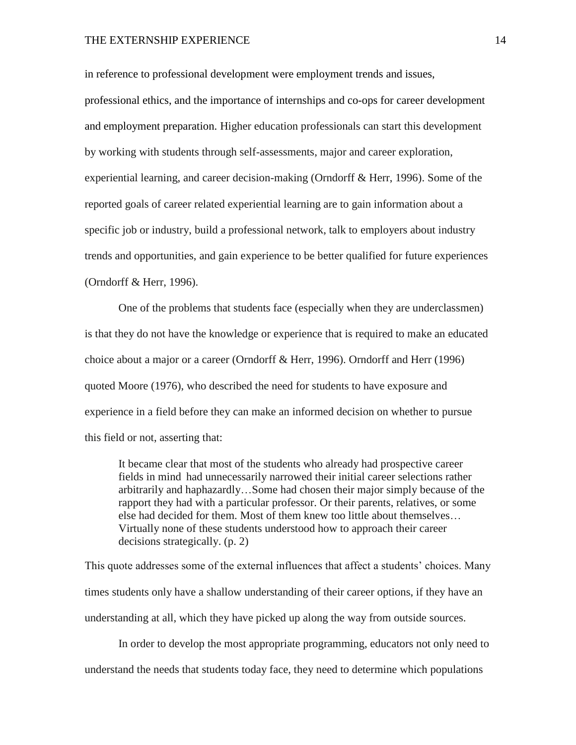in reference to professional development were employment trends and issues, professional ethics, and the importance of internships and co-ops for career development and employment preparation. Higher education professionals can start this development by working with students through self-assessments, major and career exploration, experiential learning, and career decision-making (Orndorff & Herr, 1996). Some of the reported goals of career related experiential learning are to gain information about a specific job or industry, build a professional network, talk to employers about industry trends and opportunities, and gain experience to be better qualified for future experiences (Orndorff & Herr, 1996).

One of the problems that students face (especially when they are underclassmen) is that they do not have the knowledge or experience that is required to make an educated choice about a major or a career (Orndorff & Herr, 1996). Orndorff and Herr (1996) quoted Moore (1976), who described the need for students to have exposure and experience in a field before they can make an informed decision on whether to pursue this field or not, asserting that:

It became clear that most of the students who already had prospective career fields in mind had unnecessarily narrowed their initial career selections rather arbitrarily and haphazardly…Some had chosen their major simply because of the rapport they had with a particular professor. Or their parents, relatives, or some else had decided for them. Most of them knew too little about themselves… Virtually none of these students understood how to approach their career decisions strategically. (p. 2)

This quote addresses some of the external influences that affect a students' choices. Many times students only have a shallow understanding of their career options, if they have an understanding at all, which they have picked up along the way from outside sources.

In order to develop the most appropriate programming, educators not only need to understand the needs that students today face, they need to determine which populations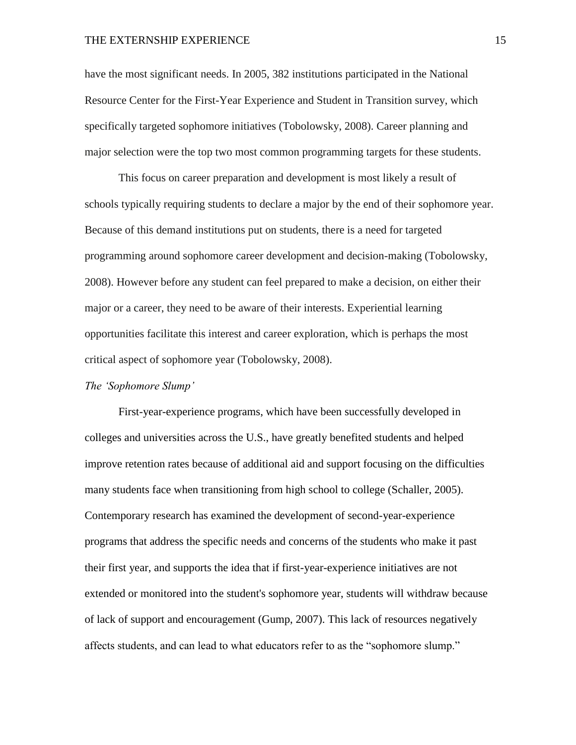have the most significant needs. In 2005, 382 institutions participated in the National Resource Center for the First-Year Experience and Student in Transition survey, which specifically targeted sophomore initiatives (Tobolowsky, 2008). Career planning and major selection were the top two most common programming targets for these students.

This focus on career preparation and development is most likely a result of schools typically requiring students to declare a major by the end of their sophomore year. Because of this demand institutions put on students, there is a need for targeted programming around sophomore career development and decision-making (Tobolowsky, 2008). However before any student can feel prepared to make a decision, on either their major or a career, they need to be aware of their interests. Experiential learning opportunities facilitate this interest and career exploration, which is perhaps the most critical aspect of sophomore year (Tobolowsky, 2008).

#### *The 'Sophomore Slump'*

First-year-experience programs, which have been successfully developed in colleges and universities across the U.S., have greatly benefited students and helped improve retention rates because of additional aid and support focusing on the difficulties many students face when transitioning from high school to college (Schaller, 2005). Contemporary research has examined the development of second-year-experience programs that address the specific needs and concerns of the students who make it past their first year, and supports the idea that if first-year-experience initiatives are not extended or monitored into the student's sophomore year, students will withdraw because of lack of support and encouragement (Gump, 2007). This lack of resources negatively affects students, and can lead to what educators refer to as the "sophomore slump."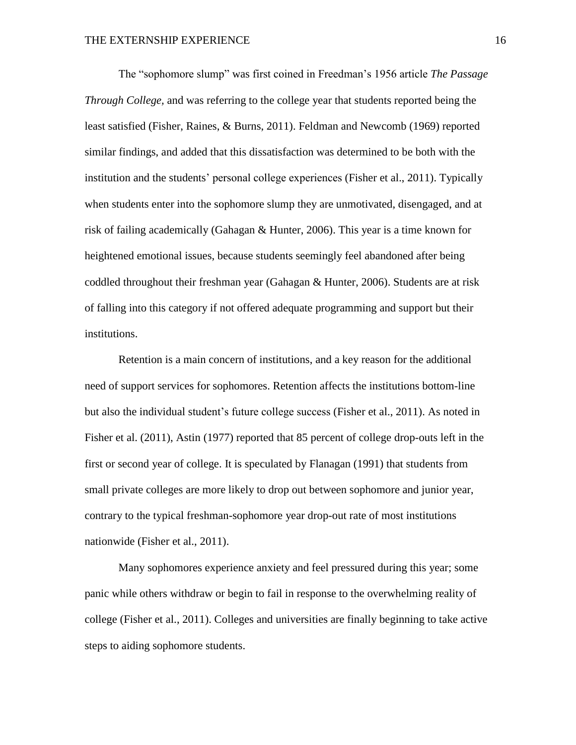The "sophomore slump" was first coined in Freedman's 1956 article *The Passage Through College,* and was referring to the college year that students reported being the least satisfied (Fisher, Raines, & Burns, 2011). Feldman and Newcomb (1969) reported similar findings, and added that this dissatisfaction was determined to be both with the institution and the students' personal college experiences (Fisher et al., 2011). Typically when students enter into the sophomore slump they are unmotivated, disengaged, and at risk of failing academically (Gahagan & Hunter, 2006). This year is a time known for heightened emotional issues, because students seemingly feel abandoned after being coddled throughout their freshman year (Gahagan & Hunter, 2006). Students are at risk of falling into this category if not offered adequate programming and support but their institutions.

Retention is a main concern of institutions, and a key reason for the additional need of support services for sophomores. Retention affects the institutions bottom-line but also the individual student's future college success (Fisher et al., 2011). As noted in Fisher et al. (2011), Astin (1977) reported that 85 percent of college drop-outs left in the first or second year of college. It is speculated by Flanagan (1991) that students from small private colleges are more likely to drop out between sophomore and junior year, contrary to the typical freshman-sophomore year drop-out rate of most institutions nationwide (Fisher et al., 2011).

Many sophomores experience anxiety and feel pressured during this year; some panic while others withdraw or begin to fail in response to the overwhelming reality of college (Fisher et al., 2011). Colleges and universities are finally beginning to take active steps to aiding sophomore students.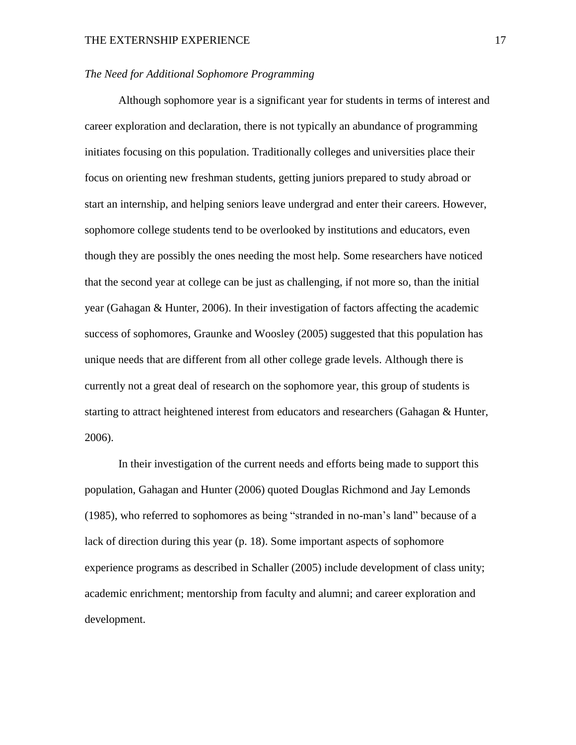#### *The Need for Additional Sophomore Programming*

Although sophomore year is a significant year for students in terms of interest and career exploration and declaration, there is not typically an abundance of programming initiates focusing on this population. Traditionally colleges and universities place their focus on orienting new freshman students, getting juniors prepared to study abroad or start an internship, and helping seniors leave undergrad and enter their careers. However, sophomore college students tend to be overlooked by institutions and educators, even though they are possibly the ones needing the most help. Some researchers have noticed that the second year at college can be just as challenging, if not more so, than the initial year (Gahagan & Hunter, 2006). In their investigation of factors affecting the academic success of sophomores, Graunke and Woosley (2005) suggested that this population has unique needs that are different from all other college grade levels. Although there is currently not a great deal of research on the sophomore year, this group of students is starting to attract heightened interest from educators and researchers (Gahagan & Hunter, 2006).

In their investigation of the current needs and efforts being made to support this population, Gahagan and Hunter (2006) quoted Douglas Richmond and Jay Lemonds (1985), who referred to sophomores as being "stranded in no-man's land" because of a lack of direction during this year (p. 18). Some important aspects of sophomore experience programs as described in Schaller (2005) include development of class unity; academic enrichment; mentorship from faculty and alumni; and career exploration and development.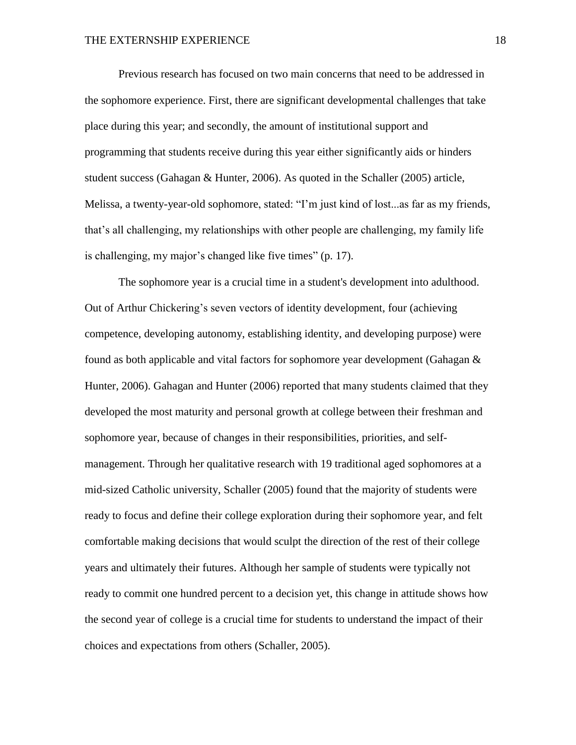Previous research has focused on two main concerns that need to be addressed in the sophomore experience. First, there are significant developmental challenges that take place during this year; and secondly, the amount of institutional support and programming that students receive during this year either significantly aids or hinders student success (Gahagan & Hunter, 2006). As quoted in the Schaller (2005) article, Melissa, a twenty-year-old sophomore, stated: "I'm just kind of lost...as far as my friends, that's all challenging, my relationships with other people are challenging, my family life is challenging, my major's changed like five times" (p. 17).

The sophomore year is a crucial time in a student's development into adulthood. Out of Arthur Chickering's seven vectors of identity development, four (achieving competence, developing autonomy, establishing identity, and developing purpose) were found as both applicable and vital factors for sophomore year development (Gahagan & Hunter, 2006). Gahagan and Hunter (2006) reported that many students claimed that they developed the most maturity and personal growth at college between their freshman and sophomore year, because of changes in their responsibilities, priorities, and selfmanagement. Through her qualitative research with 19 traditional aged sophomores at a mid-sized Catholic university, Schaller (2005) found that the majority of students were ready to focus and define their college exploration during their sophomore year, and felt comfortable making decisions that would sculpt the direction of the rest of their college years and ultimately their futures. Although her sample of students were typically not ready to commit one hundred percent to a decision yet, this change in attitude shows how the second year of college is a crucial time for students to understand the impact of their choices and expectations from others (Schaller, 2005).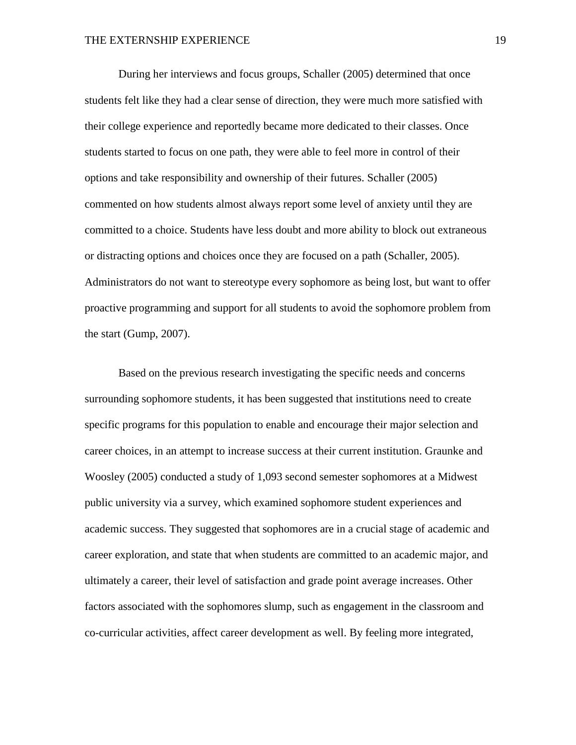During her interviews and focus groups, Schaller (2005) determined that once students felt like they had a clear sense of direction, they were much more satisfied with their college experience and reportedly became more dedicated to their classes. Once students started to focus on one path, they were able to feel more in control of their options and take responsibility and ownership of their futures. Schaller (2005) commented on how students almost always report some level of anxiety until they are committed to a choice. Students have less doubt and more ability to block out extraneous or distracting options and choices once they are focused on a path (Schaller, 2005). Administrators do not want to stereotype every sophomore as being lost, but want to offer proactive programming and support for all students to avoid the sophomore problem from the start (Gump, 2007).

Based on the previous research investigating the specific needs and concerns surrounding sophomore students, it has been suggested that institutions need to create specific programs for this population to enable and encourage their major selection and career choices, in an attempt to increase success at their current institution. Graunke and Woosley (2005) conducted a study of 1,093 second semester sophomores at a Midwest public university via a survey, which examined sophomore student experiences and academic success. They suggested that sophomores are in a crucial stage of academic and career exploration, and state that when students are committed to an academic major, and ultimately a career, their level of satisfaction and grade point average increases. Other factors associated with the sophomores slump, such as engagement in the classroom and co-curricular activities, affect career development as well. By feeling more integrated,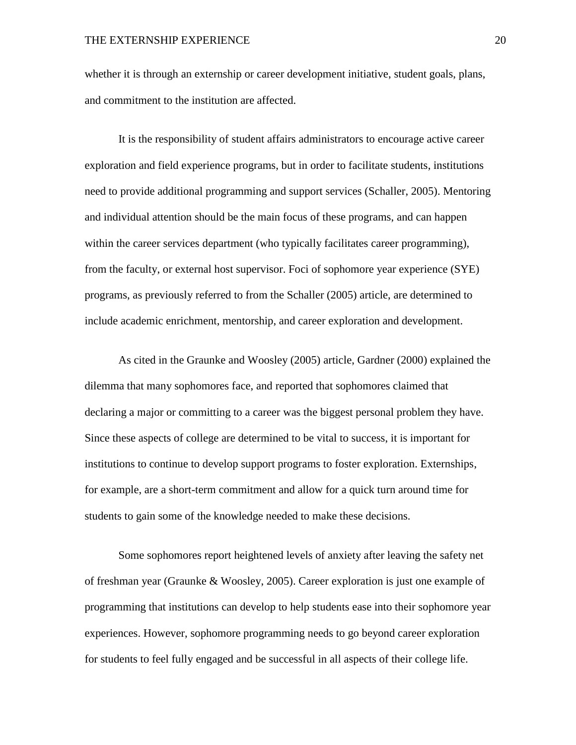whether it is through an externship or career development initiative, student goals, plans, and commitment to the institution are affected.

It is the responsibility of student affairs administrators to encourage active career exploration and field experience programs, but in order to facilitate students, institutions need to provide additional programming and support services (Schaller, 2005). Mentoring and individual attention should be the main focus of these programs, and can happen within the career services department (who typically facilitates career programming), from the faculty, or external host supervisor. Foci of sophomore year experience (SYE) programs, as previously referred to from the Schaller (2005) article, are determined to include academic enrichment, mentorship, and career exploration and development.

As cited in the Graunke and Woosley (2005) article, Gardner (2000) explained the dilemma that many sophomores face, and reported that sophomores claimed that declaring a major or committing to a career was the biggest personal problem they have. Since these aspects of college are determined to be vital to success, it is important for institutions to continue to develop support programs to foster exploration. Externships, for example, are a short-term commitment and allow for a quick turn around time for students to gain some of the knowledge needed to make these decisions.

Some sophomores report heightened levels of anxiety after leaving the safety net of freshman year (Graunke & Woosley, 2005). Career exploration is just one example of programming that institutions can develop to help students ease into their sophomore year experiences. However, sophomore programming needs to go beyond career exploration for students to feel fully engaged and be successful in all aspects of their college life.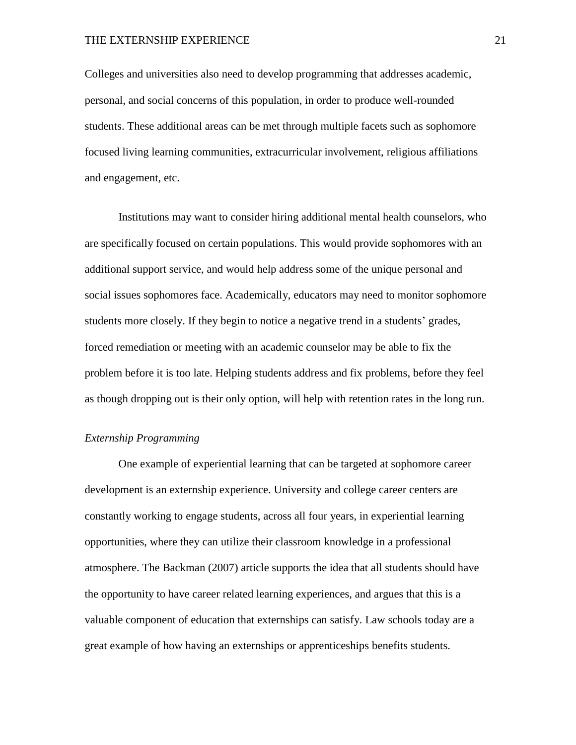Colleges and universities also need to develop programming that addresses academic, personal, and social concerns of this population, in order to produce well-rounded students. These additional areas can be met through multiple facets such as sophomore focused living learning communities, extracurricular involvement, religious affiliations and engagement, etc.

Institutions may want to consider hiring additional mental health counselors, who are specifically focused on certain populations. This would provide sophomores with an additional support service, and would help address some of the unique personal and social issues sophomores face. Academically, educators may need to monitor sophomore students more closely. If they begin to notice a negative trend in a students' grades, forced remediation or meeting with an academic counselor may be able to fix the problem before it is too late. Helping students address and fix problems, before they feel as though dropping out is their only option, will help with retention rates in the long run.

#### *Externship Programming*

One example of experiential learning that can be targeted at sophomore career development is an externship experience. University and college career centers are constantly working to engage students, across all four years, in experiential learning opportunities, where they can utilize their classroom knowledge in a professional atmosphere. The Backman (2007) article supports the idea that all students should have the opportunity to have career related learning experiences, and argues that this is a valuable component of education that externships can satisfy. Law schools today are a great example of how having an externships or apprenticeships benefits students.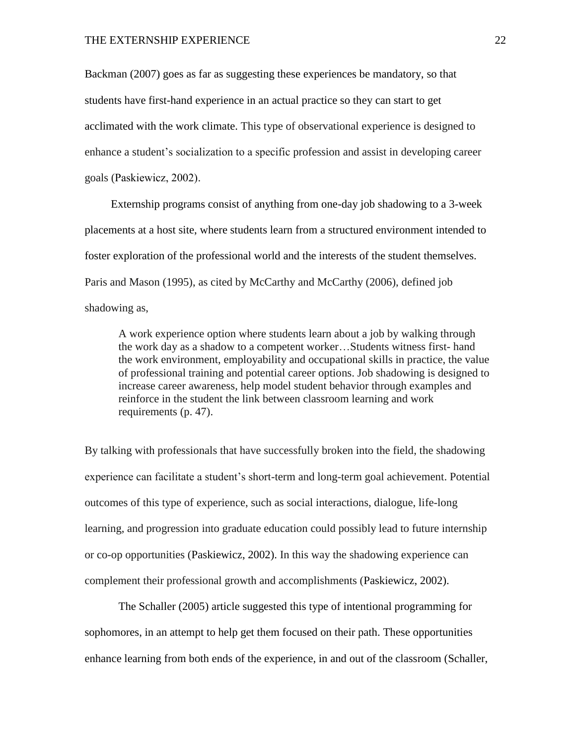Backman (2007) goes as far as suggesting these experiences be mandatory, so that students have first-hand experience in an actual practice so they can start to get acclimated with the work climate. This type of observational experience is designed to enhance a student's socialization to a specific profession and assist in developing career goals (Paskiewicz, 2002).

Externship programs consist of anything from one-day job shadowing to a 3-week placements at a host site, where students learn from a structured environment intended to foster exploration of the professional world and the interests of the student themselves. Paris and Mason (1995), as cited by McCarthy and McCarthy (2006), defined job shadowing as,

A work experience option where students learn about a job by walking through the work day as a shadow to a competent worker…Students witness first- hand the work environment, employability and occupational skills in practice, the value of professional training and potential career options. Job shadowing is designed to increase career awareness, help model student behavior through examples and reinforce in the student the link between classroom learning and work requirements (p. 47).

By talking with professionals that have successfully broken into the field, the shadowing experience can facilitate a student's short-term and long-term goal achievement. Potential outcomes of this type of experience, such as social interactions, dialogue, life-long learning, and progression into graduate education could possibly lead to future internship or co-op opportunities (Paskiewicz, 2002). In this way the shadowing experience can complement their professional growth and accomplishments (Paskiewicz, 2002).

The Schaller (2005) article suggested this type of intentional programming for sophomores, in an attempt to help get them focused on their path. These opportunities enhance learning from both ends of the experience, in and out of the classroom (Schaller,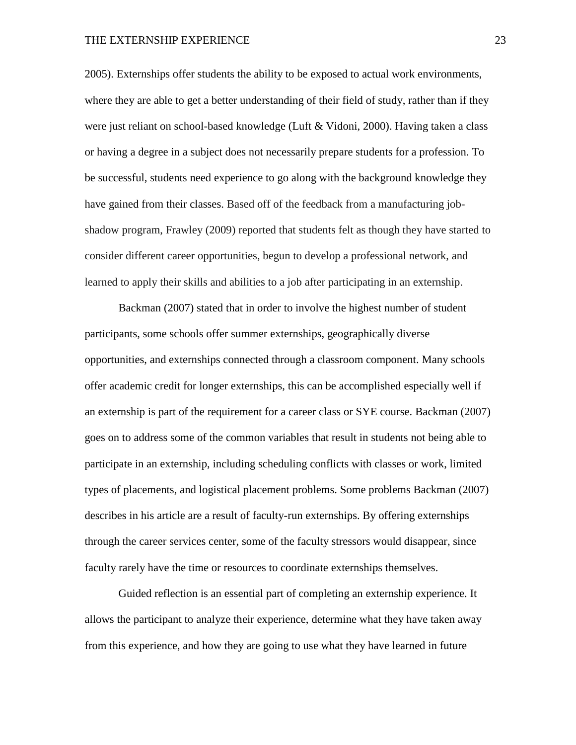2005). Externships offer students the ability to be exposed to actual work environments, where they are able to get a better understanding of their field of study, rather than if they were just reliant on school-based knowledge (Luft & Vidoni, 2000). Having taken a class or having a degree in a subject does not necessarily prepare students for a profession. To be successful, students need experience to go along with the background knowledge they have gained from their classes. Based off of the feedback from a manufacturing jobshadow program, Frawley (2009) reported that students felt as though they have started to consider different career opportunities, begun to develop a professional network, and learned to apply their skills and abilities to a job after participating in an externship.

Backman (2007) stated that in order to involve the highest number of student participants, some schools offer summer externships, geographically diverse opportunities, and externships connected through a classroom component. Many schools offer academic credit for longer externships, this can be accomplished especially well if an externship is part of the requirement for a career class or SYE course. Backman (2007) goes on to address some of the common variables that result in students not being able to participate in an externship, including scheduling conflicts with classes or work, limited types of placements, and logistical placement problems. Some problems Backman (2007) describes in his article are a result of faculty-run externships. By offering externships through the career services center, some of the faculty stressors would disappear, since faculty rarely have the time or resources to coordinate externships themselves.

Guided reflection is an essential part of completing an externship experience. It allows the participant to analyze their experience, determine what they have taken away from this experience, and how they are going to use what they have learned in future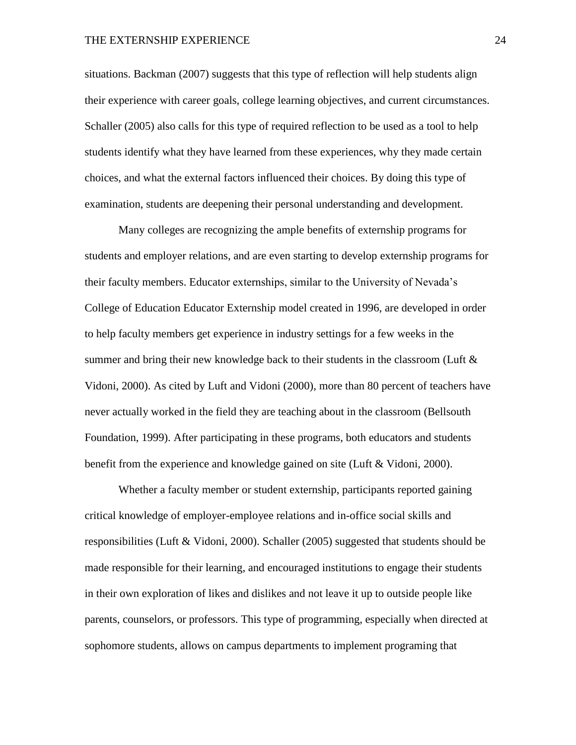situations. Backman (2007) suggests that this type of reflection will help students align their experience with career goals, college learning objectives, and current circumstances. Schaller (2005) also calls for this type of required reflection to be used as a tool to help students identify what they have learned from these experiences, why they made certain choices, and what the external factors influenced their choices. By doing this type of examination, students are deepening their personal understanding and development.

Many colleges are recognizing the ample benefits of externship programs for students and employer relations, and are even starting to develop externship programs for their faculty members. Educator externships, similar to the University of Nevada's College of Education Educator Externship model created in 1996, are developed in order to help faculty members get experience in industry settings for a few weeks in the summer and bring their new knowledge back to their students in the classroom (Luft  $\&$ Vidoni, 2000). As cited by Luft and Vidoni (2000), more than 80 percent of teachers have never actually worked in the field they are teaching about in the classroom (Bellsouth Foundation, 1999). After participating in these programs, both educators and students benefit from the experience and knowledge gained on site (Luft & Vidoni, 2000).

Whether a faculty member or student externship, participants reported gaining critical knowledge of employer-employee relations and in-office social skills and responsibilities (Luft & Vidoni, 2000). Schaller (2005) suggested that students should be made responsible for their learning, and encouraged institutions to engage their students in their own exploration of likes and dislikes and not leave it up to outside people like parents, counselors, or professors. This type of programming, especially when directed at sophomore students, allows on campus departments to implement programing that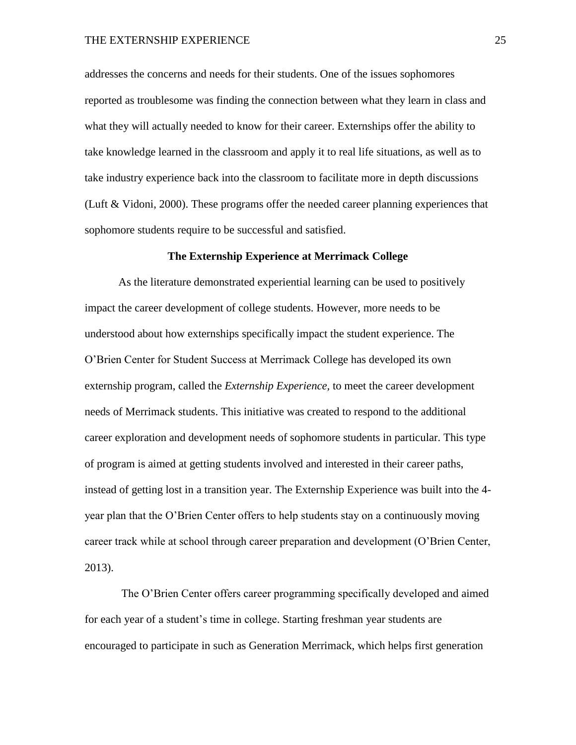addresses the concerns and needs for their students. One of the issues sophomores reported as troublesome was finding the connection between what they learn in class and what they will actually needed to know for their career. Externships offer the ability to take knowledge learned in the classroom and apply it to real life situations, as well as to take industry experience back into the classroom to facilitate more in depth discussions (Luft & Vidoni, 2000). These programs offer the needed career planning experiences that sophomore students require to be successful and satisfied.

#### **The Externship Experience at Merrimack College**

As the literature demonstrated experiential learning can be used to positively impact the career development of college students. However, more needs to be understood about how externships specifically impact the student experience. The O'Brien Center for Student Success at Merrimack College has developed its own externship program, called the *Externship Experience,* to meet the career development needs of Merrimack students. This initiative was created to respond to the additional career exploration and development needs of sophomore students in particular. This type of program is aimed at getting students involved and interested in their career paths, instead of getting lost in a transition year. The Externship Experience was built into the 4 year plan that the O'Brien Center offers to help students stay on a continuously moving career track while at school through career preparation and development (O'Brien Center, 2013).

The O'Brien Center offers career programming specifically developed and aimed for each year of a student's time in college. Starting freshman year students are encouraged to participate in such as Generation Merrimack, which helps first generation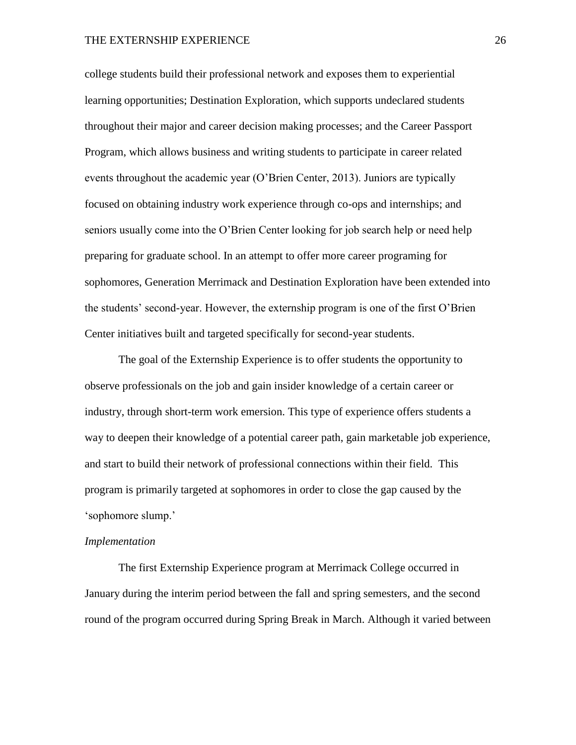college students build their professional network and exposes them to experiential learning opportunities; Destination Exploration, which supports undeclared students throughout their major and career decision making processes; and the Career Passport Program, which allows business and writing students to participate in career related events throughout the academic year (O'Brien Center, 2013). Juniors are typically focused on obtaining industry work experience through co-ops and internships; and seniors usually come into the O'Brien Center looking for job search help or need help preparing for graduate school. In an attempt to offer more career programing for sophomores, Generation Merrimack and Destination Exploration have been extended into the students' second-year. However, the externship program is one of the first O'Brien Center initiatives built and targeted specifically for second-year students.

The goal of the Externship Experience is to offer students the opportunity to observe professionals on the job and gain insider knowledge of a certain career or industry, through short-term work emersion. This type of experience offers students a way to deepen their knowledge of a potential career path, gain marketable job experience, and start to build their network of professional connections within their field. This program is primarily targeted at sophomores in order to close the gap caused by the 'sophomore slump.'

#### *Implementation*

The first Externship Experience program at Merrimack College occurred in January during the interim period between the fall and spring semesters, and the second round of the program occurred during Spring Break in March. Although it varied between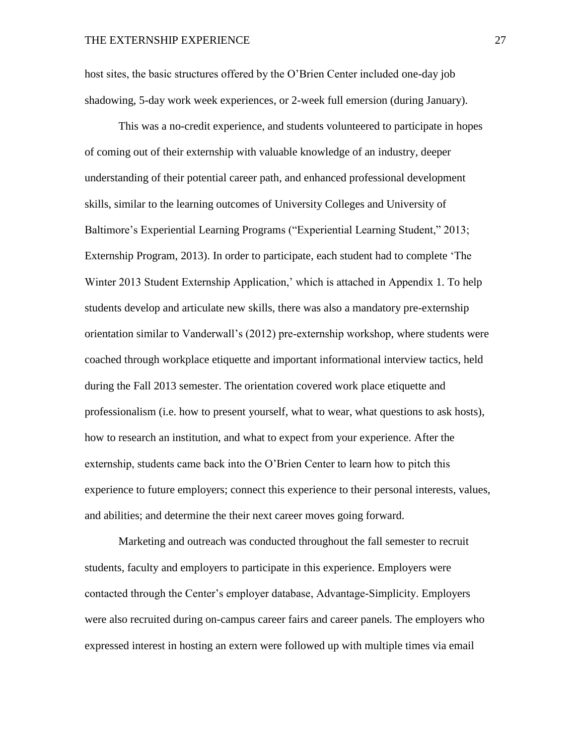host sites, the basic structures offered by the O'Brien Center included one-day job shadowing, 5-day work week experiences, or 2-week full emersion (during January).

This was a no-credit experience, and students volunteered to participate in hopes of coming out of their externship with valuable knowledge of an industry, deeper understanding of their potential career path, and enhanced professional development skills, similar to the learning outcomes of University Colleges and University of Baltimore's Experiential Learning Programs ("Experiential Learning Student," 2013; Externship Program, 2013). In order to participate, each student had to complete 'The Winter 2013 Student Externship Application,' which is attached in Appendix 1. To help students develop and articulate new skills, there was also a mandatory pre-externship orientation similar to Vanderwall's (2012) pre-externship workshop, where students were coached through workplace etiquette and important informational interview tactics, held during the Fall 2013 semester. The orientation covered work place etiquette and professionalism (i.e. how to present yourself, what to wear, what questions to ask hosts), how to research an institution, and what to expect from your experience. After the externship, students came back into the O'Brien Center to learn how to pitch this experience to future employers; connect this experience to their personal interests, values, and abilities; and determine the their next career moves going forward.

Marketing and outreach was conducted throughout the fall semester to recruit students, faculty and employers to participate in this experience. Employers were contacted through the Center's employer database, Advantage-Simplicity. Employers were also recruited during on-campus career fairs and career panels. The employers who expressed interest in hosting an extern were followed up with multiple times via email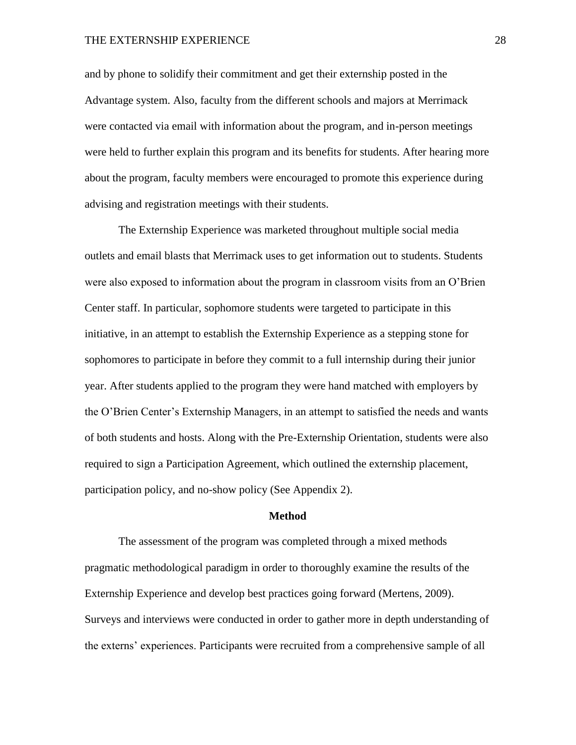and by phone to solidify their commitment and get their externship posted in the Advantage system. Also, faculty from the different schools and majors at Merrimack were contacted via email with information about the program, and in-person meetings were held to further explain this program and its benefits for students. After hearing more about the program, faculty members were encouraged to promote this experience during advising and registration meetings with their students.

The Externship Experience was marketed throughout multiple social media outlets and email blasts that Merrimack uses to get information out to students. Students were also exposed to information about the program in classroom visits from an O'Brien Center staff. In particular, sophomore students were targeted to participate in this initiative, in an attempt to establish the Externship Experience as a stepping stone for sophomores to participate in before they commit to a full internship during their junior year. After students applied to the program they were hand matched with employers by the O'Brien Center's Externship Managers, in an attempt to satisfied the needs and wants of both students and hosts. Along with the Pre-Externship Orientation, students were also required to sign a Participation Agreement, which outlined the externship placement, participation policy, and no-show policy (See Appendix 2).

#### **Method**

The assessment of the program was completed through a mixed methods pragmatic methodological paradigm in order to thoroughly examine the results of the Externship Experience and develop best practices going forward (Mertens, 2009). Surveys and interviews were conducted in order to gather more in depth understanding of the externs' experiences. Participants were recruited from a comprehensive sample of all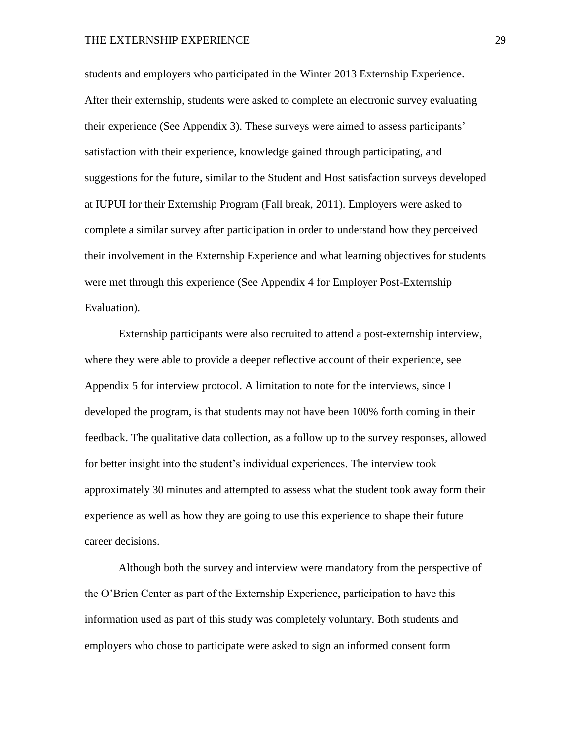students and employers who participated in the Winter 2013 Externship Experience. After their externship, students were asked to complete an electronic survey evaluating their experience (See Appendix 3). These surveys were aimed to assess participants' satisfaction with their experience, knowledge gained through participating, and suggestions for the future, similar to the Student and Host satisfaction surveys developed at IUPUI for their Externship Program (Fall break, 2011). Employers were asked to complete a similar survey after participation in order to understand how they perceived their involvement in the Externship Experience and what learning objectives for students were met through this experience (See Appendix 4 for Employer Post-Externship Evaluation).

Externship participants were also recruited to attend a post-externship interview, where they were able to provide a deeper reflective account of their experience, see Appendix 5 for interview protocol. A limitation to note for the interviews, since I developed the program, is that students may not have been 100% forth coming in their feedback. The qualitative data collection, as a follow up to the survey responses, allowed for better insight into the student's individual experiences. The interview took approximately 30 minutes and attempted to assess what the student took away form their experience as well as how they are going to use this experience to shape their future career decisions.

Although both the survey and interview were mandatory from the perspective of the O'Brien Center as part of the Externship Experience, participation to have this information used as part of this study was completely voluntary. Both students and employers who chose to participate were asked to sign an informed consent form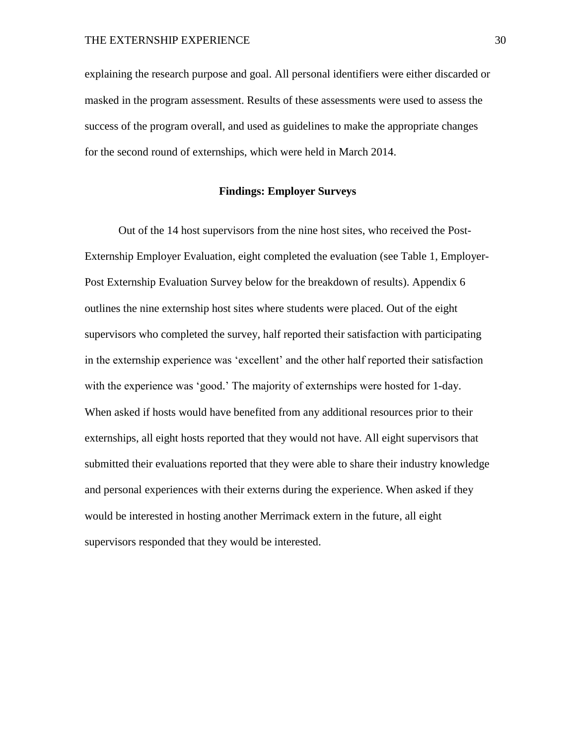explaining the research purpose and goal. All personal identifiers were either discarded or masked in the program assessment. Results of these assessments were used to assess the success of the program overall, and used as guidelines to make the appropriate changes for the second round of externships, which were held in March 2014.

## **Findings: Employer Surveys**

Out of the 14 host supervisors from the nine host sites, who received the Post-Externship Employer Evaluation, eight completed the evaluation (see Table 1, Employer-Post Externship Evaluation Survey below for the breakdown of results). Appendix 6 outlines the nine externship host sites where students were placed. Out of the eight supervisors who completed the survey, half reported their satisfaction with participating in the externship experience was 'excellent' and the other half reported their satisfaction with the experience was 'good.' The majority of externships were hosted for 1-day. When asked if hosts would have benefited from any additional resources prior to their externships, all eight hosts reported that they would not have. All eight supervisors that submitted their evaluations reported that they were able to share their industry knowledge and personal experiences with their externs during the experience. When asked if they would be interested in hosting another Merrimack extern in the future, all eight supervisors responded that they would be interested.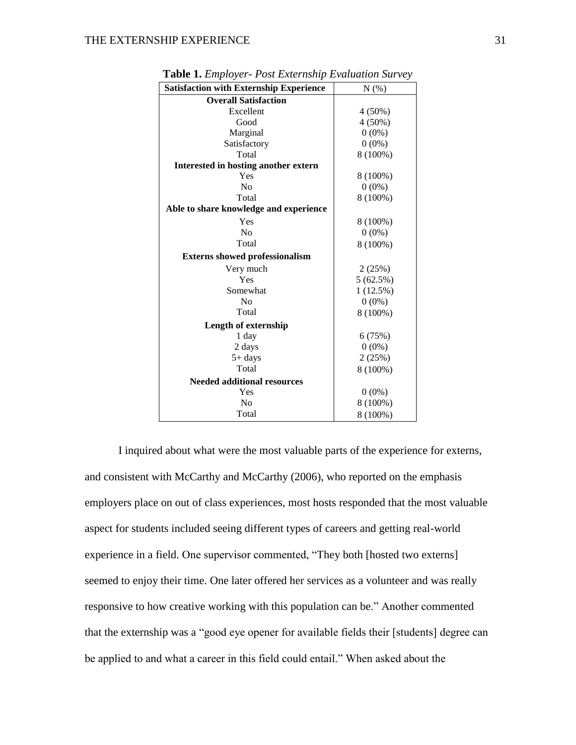| <b>Satisfaction with Externship Experience</b> | N(%)      |
|------------------------------------------------|-----------|
| <b>Overall Satisfaction</b>                    |           |
| Excellent                                      | $4(50\%)$ |
| Good                                           | $4(50\%)$ |
| Marginal                                       | $0(0\%)$  |
| Satisfactory                                   | $0(0\%)$  |
| Total                                          | 8 (100%)  |
| Interested in hosting another extern           |           |
| Yes                                            | 8 (100%)  |
| No                                             | $0(0\%)$  |
| Total                                          | 8 (100%)  |
| Able to share knowledge and experience         |           |
| Yes                                            | 8 (100%)  |
| No                                             | $0(0\%)$  |
| Total                                          | 8 (100%)  |
| <b>Externs showed professionalism</b>          |           |
| Very much                                      | 2(25%)    |
| Yes                                            | 5(62.5%)  |
| Somewhat                                       | 1(12.5%)  |
| N <sub>0</sub>                                 | $0(0\%)$  |
| Total                                          | 8 (100%)  |
| <b>Length of externship</b>                    |           |
| 1 day                                          | 6(75%)    |
| 2 days                                         | $0(0\%)$  |
| $5+$ days                                      | 2(25%)    |
| Total                                          | 8 (100%)  |
| <b>Needed additional resources</b>             |           |
| Yes                                            | $0(0\%)$  |
| No                                             | 8 (100%)  |
| Total                                          | 8 (100%)  |

**Table 1.** *Employer- Post Externship Evaluation Survey*

I inquired about what were the most valuable parts of the experience for externs, and consistent with McCarthy and McCarthy (2006), who reported on the emphasis employers place on out of class experiences, most hosts responded that the most valuable aspect for students included seeing different types of careers and getting real-world experience in a field. One supervisor commented, "They both [hosted two externs] seemed to enjoy their time. One later offered her services as a volunteer and was really responsive to how creative working with this population can be." Another commented that the externship was a "good eye opener for available fields their [students] degree can be applied to and what a career in this field could entail." When asked about the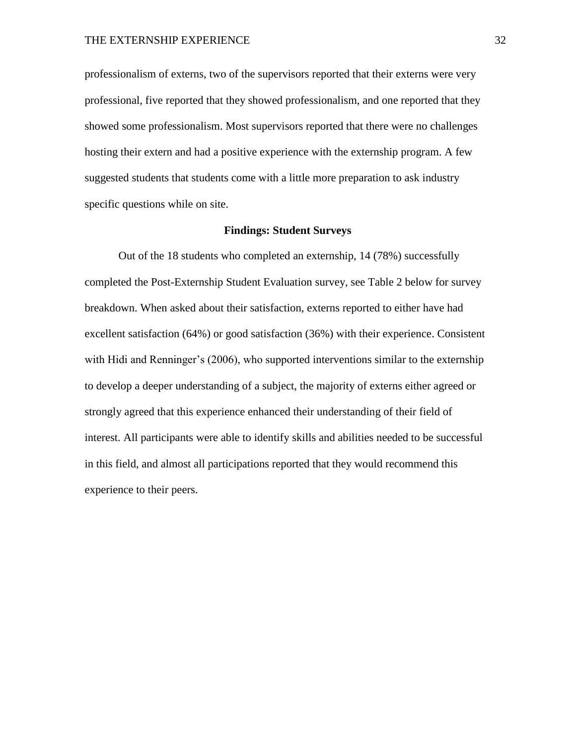professionalism of externs, two of the supervisors reported that their externs were very professional, five reported that they showed professionalism, and one reported that they showed some professionalism. Most supervisors reported that there were no challenges hosting their extern and had a positive experience with the externship program. A few suggested students that students come with a little more preparation to ask industry specific questions while on site.

#### **Findings: Student Surveys**

Out of the 18 students who completed an externship, 14 (78%) successfully completed the Post-Externship Student Evaluation survey, see Table 2 below for survey breakdown. When asked about their satisfaction, externs reported to either have had excellent satisfaction (64%) or good satisfaction (36%) with their experience. Consistent with Hidi and Renninger's (2006), who supported interventions similar to the externship to develop a deeper understanding of a subject, the majority of externs either agreed or strongly agreed that this experience enhanced their understanding of their field of interest. All participants were able to identify skills and abilities needed to be successful in this field, and almost all participations reported that they would recommend this experience to their peers.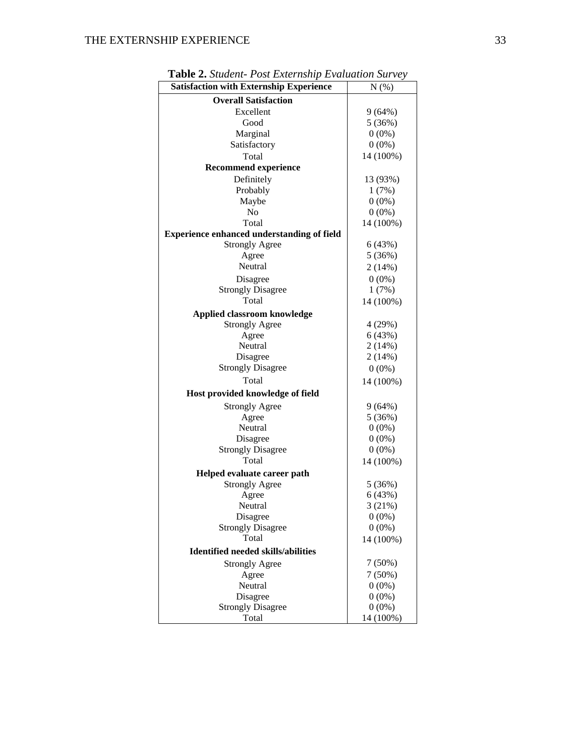| <b>Satisfaction with Externship Experience</b>    | $N(\%)$   |
|---------------------------------------------------|-----------|
| <b>Overall Satisfaction</b>                       |           |
| Excellent                                         | 9(64%)    |
| Good                                              | 5(36%)    |
| Marginal                                          | $0(0\%)$  |
| Satisfactory                                      | $0(0\%)$  |
| Total                                             | 14 (100%) |
| <b>Recommend experience</b>                       |           |
| Definitely                                        | 13 (93%)  |
| Probably                                          | 1(7%)     |
| Maybe                                             | $0(0\%)$  |
| N <sub>o</sub>                                    | $0(0\%)$  |
| Total                                             | 14 (100%) |
| <b>Experience enhanced understanding of field</b> |           |
| <b>Strongly Agree</b>                             | 6(43%)    |
| Agree                                             | 5(36%)    |
| Neutral                                           | 2(14%)    |
| Disagree                                          | $0(0\%)$  |
| <b>Strongly Disagree</b>                          | 1(7%)     |
| Total                                             | 14 (100%) |
| <b>Applied classroom knowledge</b>                |           |
| <b>Strongly Agree</b>                             | 4 (29%)   |
| Agree                                             | 6(43%)    |
| Neutral                                           | 2(14%)    |
| Disagree                                          | 2(14%)    |
| <b>Strongly Disagree</b>                          | $0(0\%)$  |
| Total                                             | 14 (100%) |
| Host provided knowledge of field                  |           |
| <b>Strongly Agree</b>                             | 9(64%)    |
| Agree                                             | 5(36%)    |
| Neutral                                           | $0(0\%)$  |
| Disagree                                          | $0(0\%)$  |
| <b>Strongly Disagree</b>                          | $0(0\%)$  |
| Total                                             | 14 (100%) |
| Helped evaluate career path                       |           |
| <b>Strongly Agree</b>                             | 5(36%)    |
| Agree                                             | 6(43%)    |
| Neutral                                           | 3(21%)    |
| Disagree                                          | $0(0\%)$  |
| <b>Strongly Disagree</b>                          | $0(0\%)$  |
| Total                                             | 14 (100%) |
| <b>Identified needed skills/abilities</b>         |           |
|                                                   |           |
| <b>Strongly Agree</b>                             | 7(50%)    |
| Agree                                             | $7(50\%)$ |
| Neutral                                           | $0(0\%)$  |
| Disagree                                          | $0(0\%)$  |
| <b>Strongly Disagree</b><br>Total                 | $0(0\%)$  |
|                                                   | 14 (100%) |

**Table 2.** *Student- Post Externship Evaluation Survey*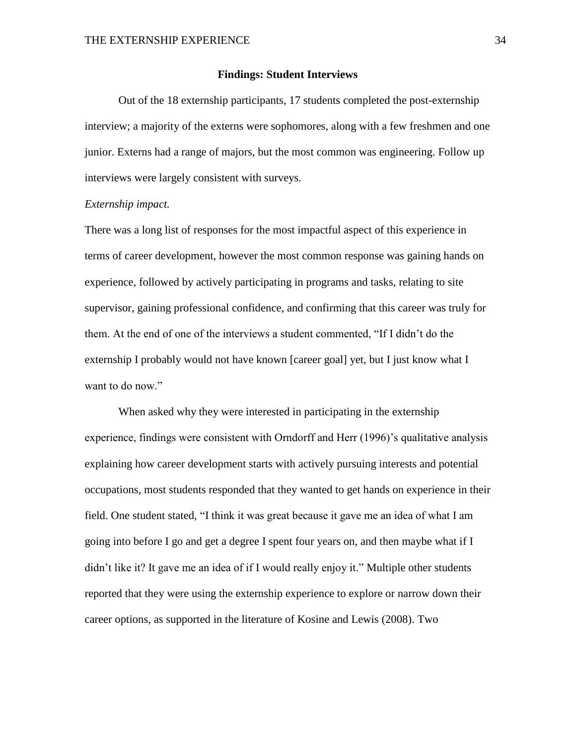#### **Findings: Student Interviews**

Out of the 18 externship participants, 17 students completed the post-externship interview; a majority of the externs were sophomores, along with a few freshmen and one junior. Externs had a range of majors, but the most common was engineering. Follow up interviews were largely consistent with surveys.

#### *Externship impact.*

There was a long list of responses for the most impactful aspect of this experience in terms of career development, however the most common response was gaining hands on experience, followed by actively participating in programs and tasks, relating to site supervisor, gaining professional confidence, and confirming that this career was truly for them. At the end of one of the interviews a student commented, "If I didn't do the externship I probably would not have known [career goal] yet, but I just know what I want to do now."

When asked why they were interested in participating in the externship experience, findings were consistent with Orndorff and Herr (1996)'s qualitative analysis explaining how career development starts with actively pursuing interests and potential occupations, most students responded that they wanted to get hands on experience in their field. One student stated, "I think it was great because it gave me an idea of what I am going into before I go and get a degree I spent four years on, and then maybe what if I didn't like it? It gave me an idea of if I would really enjoy it." Multiple other students reported that they were using the externship experience to explore or narrow down their career options, as supported in the literature of Kosine and Lewis (2008). Two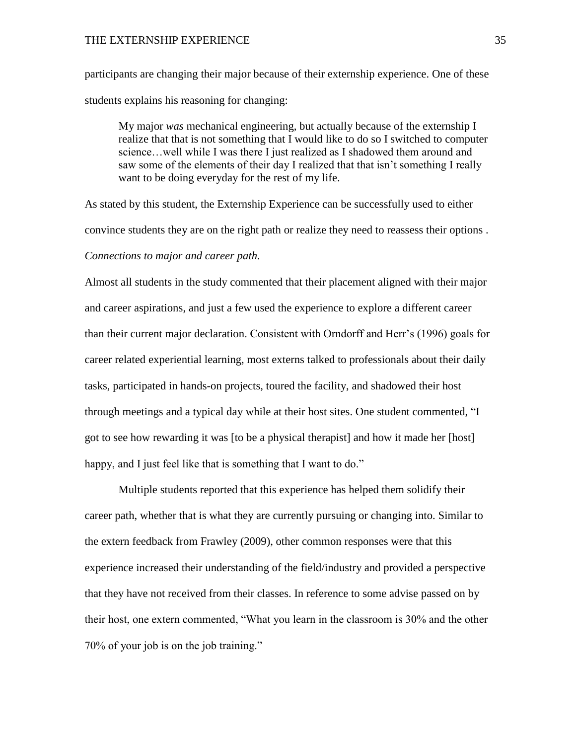participants are changing their major because of their externship experience. One of these students explains his reasoning for changing:

My major *was* mechanical engineering, but actually because of the externship I realize that that is not something that I would like to do so I switched to computer science…well while I was there I just realized as I shadowed them around and saw some of the elements of their day I realized that that isn't something I really want to be doing everyday for the rest of my life.

As stated by this student, the Externship Experience can be successfully used to either convince students they are on the right path or realize they need to reassess their options . *Connections to major and career path.*

Almost all students in the study commented that their placement aligned with their major and career aspirations, and just a few used the experience to explore a different career than their current major declaration. Consistent with Orndorff and Herr's (1996) goals for career related experiential learning, most externs talked to professionals about their daily tasks, participated in hands-on projects, toured the facility, and shadowed their host through meetings and a typical day while at their host sites. One student commented, "I got to see how rewarding it was [to be a physical therapist] and how it made her [host] happy, and I just feel like that is something that I want to do."

Multiple students reported that this experience has helped them solidify their career path, whether that is what they are currently pursuing or changing into. Similar to the extern feedback from Frawley (2009), other common responses were that this experience increased their understanding of the field/industry and provided a perspective that they have not received from their classes. In reference to some advise passed on by their host, one extern commented, "What you learn in the classroom is 30% and the other 70% of your job is on the job training."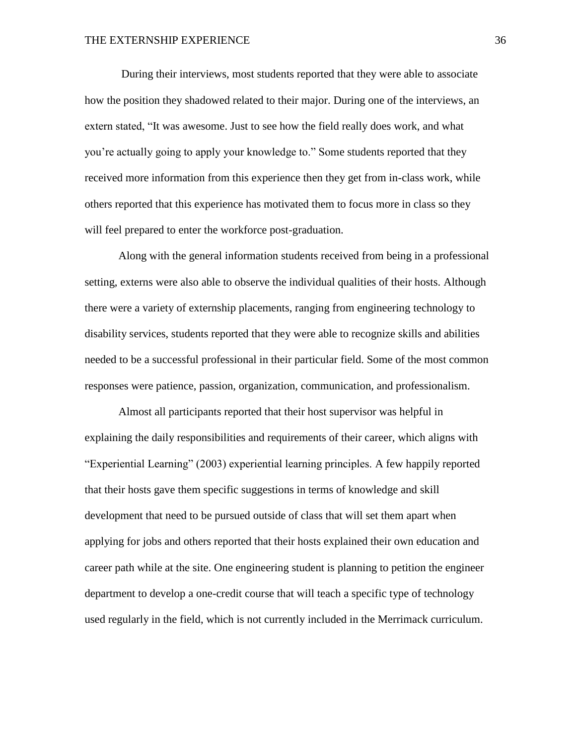During their interviews, most students reported that they were able to associate how the position they shadowed related to their major. During one of the interviews, an extern stated, "It was awesome. Just to see how the field really does work, and what you're actually going to apply your knowledge to." Some students reported that they received more information from this experience then they get from in-class work, while others reported that this experience has motivated them to focus more in class so they will feel prepared to enter the workforce post-graduation.

Along with the general information students received from being in a professional setting, externs were also able to observe the individual qualities of their hosts. Although there were a variety of externship placements, ranging from engineering technology to disability services, students reported that they were able to recognize skills and abilities needed to be a successful professional in their particular field. Some of the most common responses were patience, passion, organization, communication, and professionalism.

Almost all participants reported that their host supervisor was helpful in explaining the daily responsibilities and requirements of their career, which aligns with "Experiential Learning" (2003) experiential learning principles. A few happily reported that their hosts gave them specific suggestions in terms of knowledge and skill development that need to be pursued outside of class that will set them apart when applying for jobs and others reported that their hosts explained their own education and career path while at the site. One engineering student is planning to petition the engineer department to develop a one-credit course that will teach a specific type of technology used regularly in the field, which is not currently included in the Merrimack curriculum.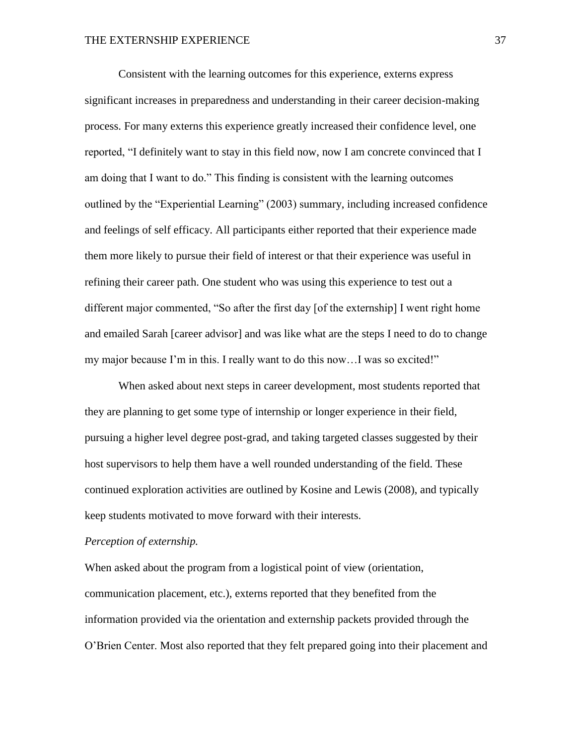Consistent with the learning outcomes for this experience, externs express significant increases in preparedness and understanding in their career decision-making process. For many externs this experience greatly increased their confidence level, one reported, "I definitely want to stay in this field now, now I am concrete convinced that I am doing that I want to do." This finding is consistent with the learning outcomes outlined by the "Experiential Learning" (2003) summary, including increased confidence and feelings of self efficacy. All participants either reported that their experience made them more likely to pursue their field of interest or that their experience was useful in refining their career path. One student who was using this experience to test out a different major commented, "So after the first day [of the externship] I went right home and emailed Sarah [career advisor] and was like what are the steps I need to do to change my major because I'm in this. I really want to do this now…I was so excited!"

When asked about next steps in career development, most students reported that they are planning to get some type of internship or longer experience in their field, pursuing a higher level degree post-grad, and taking targeted classes suggested by their host supervisors to help them have a well rounded understanding of the field. These continued exploration activities are outlined by Kosine and Lewis (2008), and typically keep students motivated to move forward with their interests.

#### *Perception of externship.*

When asked about the program from a logistical point of view (orientation, communication placement, etc.), externs reported that they benefited from the information provided via the orientation and externship packets provided through the O'Brien Center. Most also reported that they felt prepared going into their placement and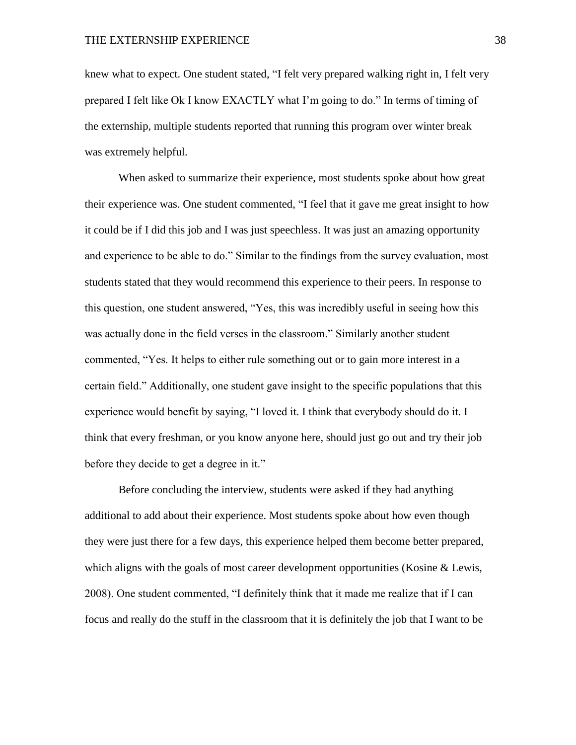knew what to expect. One student stated, "I felt very prepared walking right in, I felt very prepared I felt like Ok I know EXACTLY what I'm going to do." In terms of timing of the externship, multiple students reported that running this program over winter break was extremely helpful.

When asked to summarize their experience, most students spoke about how great their experience was. One student commented, "I feel that it gave me great insight to how it could be if I did this job and I was just speechless. It was just an amazing opportunity and experience to be able to do." Similar to the findings from the survey evaluation, most students stated that they would recommend this experience to their peers. In response to this question, one student answered, "Yes, this was incredibly useful in seeing how this was actually done in the field verses in the classroom." Similarly another student commented, "Yes. It helps to either rule something out or to gain more interest in a certain field." Additionally, one student gave insight to the specific populations that this experience would benefit by saying, "I loved it. I think that everybody should do it. I think that every freshman, or you know anyone here, should just go out and try their job before they decide to get a degree in it."

Before concluding the interview, students were asked if they had anything additional to add about their experience. Most students spoke about how even though they were just there for a few days, this experience helped them become better prepared, which aligns with the goals of most career development opportunities (Kosine & Lewis, 2008). One student commented, "I definitely think that it made me realize that if I can focus and really do the stuff in the classroom that it is definitely the job that I want to be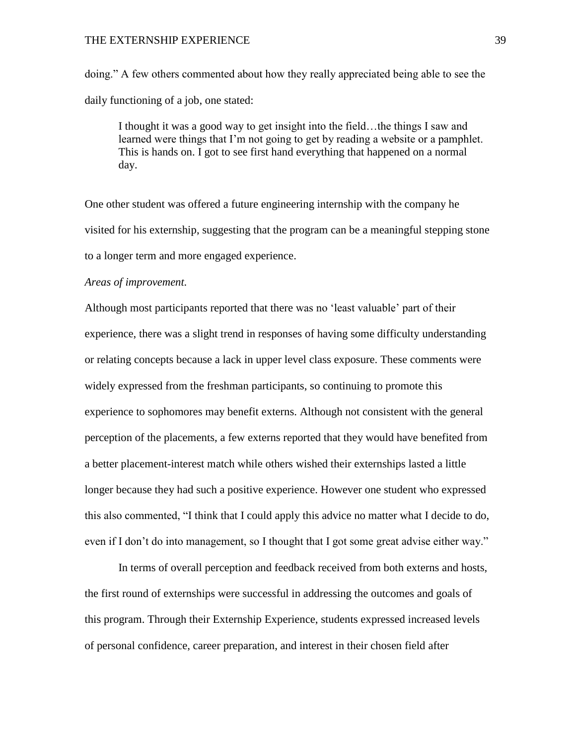doing." A few others commented about how they really appreciated being able to see the daily functioning of a job, one stated:

I thought it was a good way to get insight into the field…the things I saw and learned were things that I'm not going to get by reading a website or a pamphlet. This is hands on. I got to see first hand everything that happened on a normal day.

One other student was offered a future engineering internship with the company he visited for his externship, suggesting that the program can be a meaningful stepping stone to a longer term and more engaged experience.

#### *Areas of improvement.*

Although most participants reported that there was no 'least valuable' part of their experience, there was a slight trend in responses of having some difficulty understanding or relating concepts because a lack in upper level class exposure. These comments were widely expressed from the freshman participants, so continuing to promote this experience to sophomores may benefit externs. Although not consistent with the general perception of the placements, a few externs reported that they would have benefited from a better placement-interest match while others wished their externships lasted a little longer because they had such a positive experience. However one student who expressed this also commented, "I think that I could apply this advice no matter what I decide to do, even if I don't do into management, so I thought that I got some great advise either way."

In terms of overall perception and feedback received from both externs and hosts, the first round of externships were successful in addressing the outcomes and goals of this program. Through their Externship Experience, students expressed increased levels of personal confidence, career preparation, and interest in their chosen field after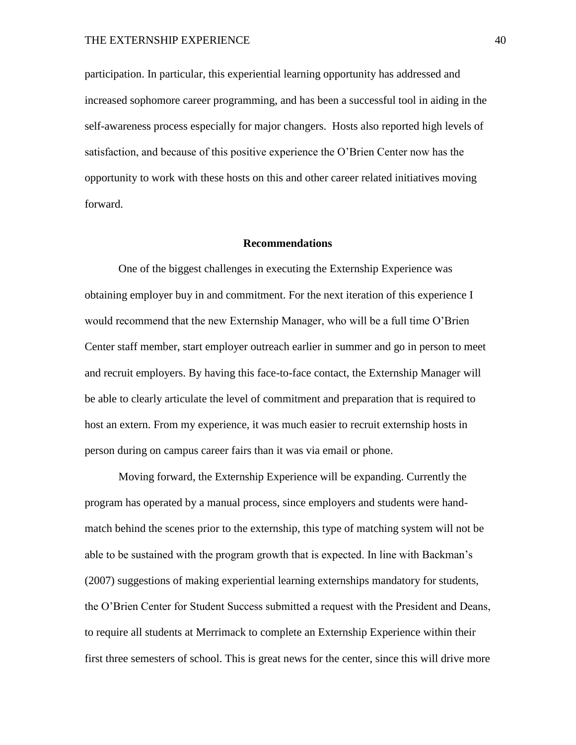participation. In particular, this experiential learning opportunity has addressed and increased sophomore career programming, and has been a successful tool in aiding in the self-awareness process especially for major changers. Hosts also reported high levels of satisfaction, and because of this positive experience the O'Brien Center now has the opportunity to work with these hosts on this and other career related initiatives moving forward.

#### **Recommendations**

One of the biggest challenges in executing the Externship Experience was obtaining employer buy in and commitment. For the next iteration of this experience I would recommend that the new Externship Manager, who will be a full time O'Brien Center staff member, start employer outreach earlier in summer and go in person to meet and recruit employers. By having this face-to-face contact, the Externship Manager will be able to clearly articulate the level of commitment and preparation that is required to host an extern. From my experience, it was much easier to recruit externship hosts in person during on campus career fairs than it was via email or phone.

Moving forward, the Externship Experience will be expanding. Currently the program has operated by a manual process, since employers and students were handmatch behind the scenes prior to the externship, this type of matching system will not be able to be sustained with the program growth that is expected. In line with Backman's (2007) suggestions of making experiential learning externships mandatory for students, the O'Brien Center for Student Success submitted a request with the President and Deans, to require all students at Merrimack to complete an Externship Experience within their first three semesters of school. This is great news for the center, since this will drive more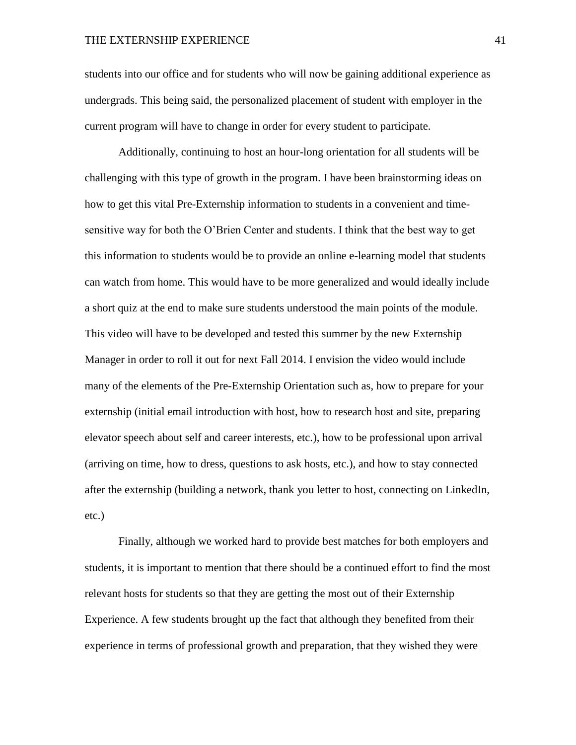students into our office and for students who will now be gaining additional experience as undergrads. This being said, the personalized placement of student with employer in the current program will have to change in order for every student to participate.

Additionally, continuing to host an hour-long orientation for all students will be challenging with this type of growth in the program. I have been brainstorming ideas on how to get this vital Pre-Externship information to students in a convenient and timesensitive way for both the O'Brien Center and students. I think that the best way to get this information to students would be to provide an online e-learning model that students can watch from home. This would have to be more generalized and would ideally include a short quiz at the end to make sure students understood the main points of the module. This video will have to be developed and tested this summer by the new Externship Manager in order to roll it out for next Fall 2014. I envision the video would include many of the elements of the Pre-Externship Orientation such as, how to prepare for your externship (initial email introduction with host, how to research host and site, preparing elevator speech about self and career interests, etc.), how to be professional upon arrival (arriving on time, how to dress, questions to ask hosts, etc.), and how to stay connected after the externship (building a network, thank you letter to host, connecting on LinkedIn, etc.)

Finally, although we worked hard to provide best matches for both employers and students, it is important to mention that there should be a continued effort to find the most relevant hosts for students so that they are getting the most out of their Externship Experience. A few students brought up the fact that although they benefited from their experience in terms of professional growth and preparation, that they wished they were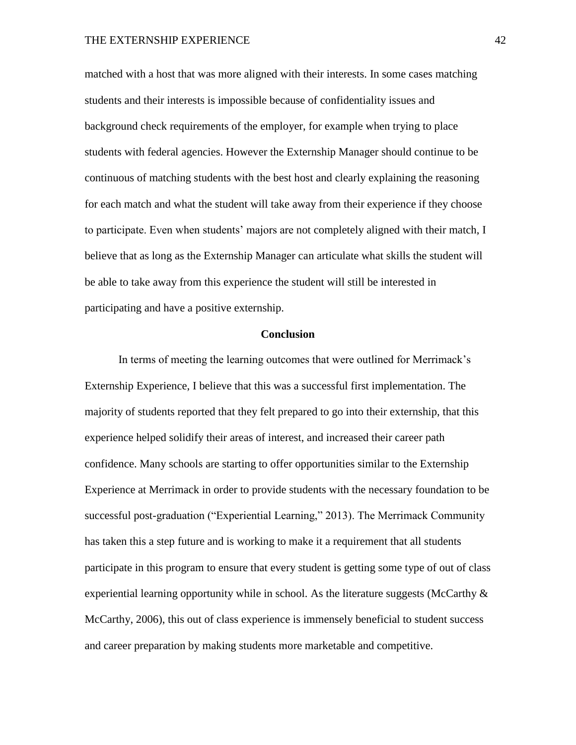matched with a host that was more aligned with their interests. In some cases matching students and their interests is impossible because of confidentiality issues and background check requirements of the employer, for example when trying to place students with federal agencies. However the Externship Manager should continue to be continuous of matching students with the best host and clearly explaining the reasoning for each match and what the student will take away from their experience if they choose to participate. Even when students' majors are not completely aligned with their match, I believe that as long as the Externship Manager can articulate what skills the student will be able to take away from this experience the student will still be interested in participating and have a positive externship.

#### **Conclusion**

In terms of meeting the learning outcomes that were outlined for Merrimack's Externship Experience, I believe that this was a successful first implementation. The majority of students reported that they felt prepared to go into their externship, that this experience helped solidify their areas of interest, and increased their career path confidence. Many schools are starting to offer opportunities similar to the Externship Experience at Merrimack in order to provide students with the necessary foundation to be successful post-graduation ("Experiential Learning," 2013). The Merrimack Community has taken this a step future and is working to make it a requirement that all students participate in this program to ensure that every student is getting some type of out of class experiential learning opportunity while in school. As the literature suggests (McCarthy  $\&$ McCarthy, 2006), this out of class experience is immensely beneficial to student success and career preparation by making students more marketable and competitive.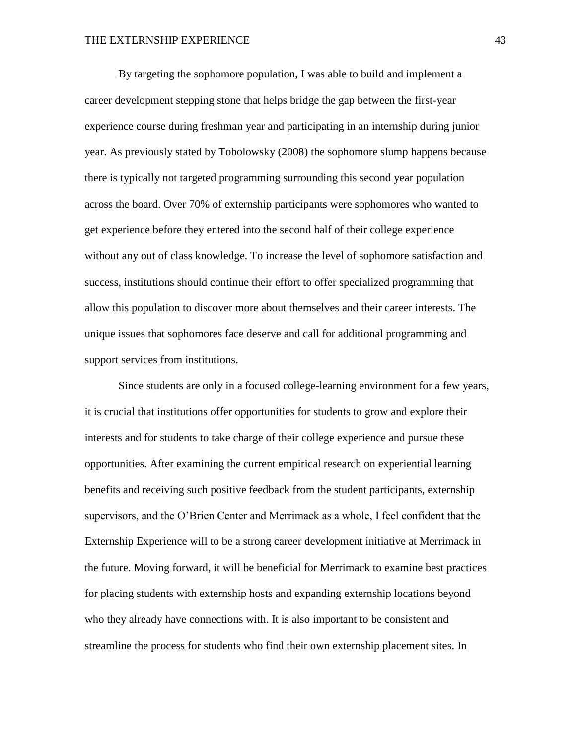By targeting the sophomore population, I was able to build and implement a career development stepping stone that helps bridge the gap between the first-year experience course during freshman year and participating in an internship during junior year. As previously stated by Tobolowsky (2008) the sophomore slump happens because there is typically not targeted programming surrounding this second year population across the board. Over 70% of externship participants were sophomores who wanted to get experience before they entered into the second half of their college experience without any out of class knowledge. To increase the level of sophomore satisfaction and success, institutions should continue their effort to offer specialized programming that allow this population to discover more about themselves and their career interests. The unique issues that sophomores face deserve and call for additional programming and support services from institutions.

Since students are only in a focused college-learning environment for a few years, it is crucial that institutions offer opportunities for students to grow and explore their interests and for students to take charge of their college experience and pursue these opportunities. After examining the current empirical research on experiential learning benefits and receiving such positive feedback from the student participants, externship supervisors, and the O'Brien Center and Merrimack as a whole, I feel confident that the Externship Experience will to be a strong career development initiative at Merrimack in the future. Moving forward, it will be beneficial for Merrimack to examine best practices for placing students with externship hosts and expanding externship locations beyond who they already have connections with. It is also important to be consistent and streamline the process for students who find their own externship placement sites. In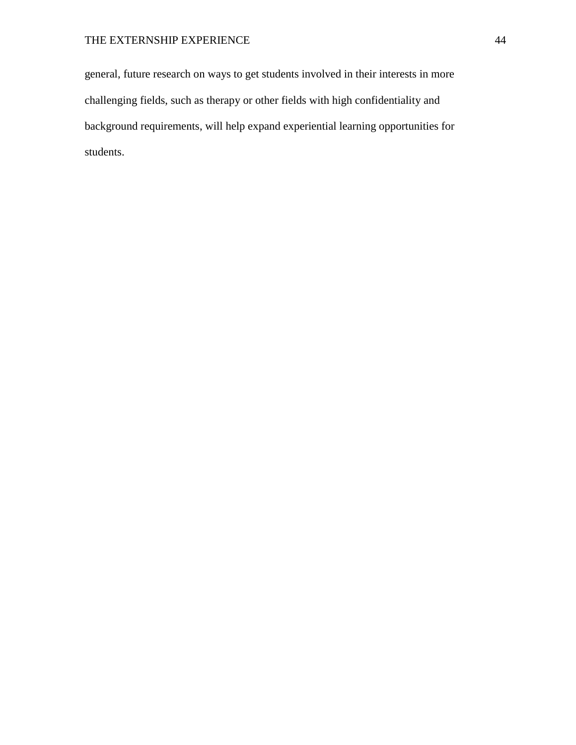general, future research on ways to get students involved in their interests in more challenging fields, such as therapy or other fields with high confidentiality and background requirements, will help expand experiential learning opportunities for students.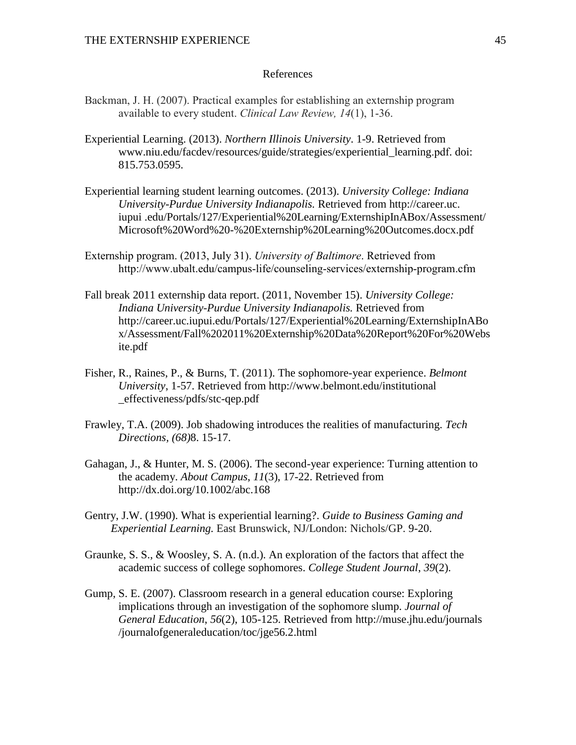## References

- Backman, J. H. (2007). Practical examples for establishing an externship program available to every student. *Clinical Law Review, 14*(1), 1-36.
- Experiential Learning. (2013). *Northern Illinois University*. 1-9. Retrieved from www.niu.edu/facdev/resources/guide/strategies/experiential\_learning.pdf. doi: 815.753.0595.
- Experiential learning student learning outcomes. (2013). *University College: Indiana University-Purdue University Indianapolis.* Retrieved from http://career.uc. iupui .edu/Portals/127/Experiential%20Learning/ExternshipInABox/Assessment/ Microsoft%20Word%20-%20Externship%20Learning%20Outcomes.docx.pdf
- Externship program. (2013, July 31). *University of Baltimore*. Retrieved from http://www.ubalt.edu/campus-life/counseling-services/externship-program.cfm
- Fall break 2011 externship data report. (2011, November 15). *University College: Indiana University-Purdue University Indianapolis.* Retrieved from <http://career.uc.iupui.edu/Portals/127/Experiential%20Learning/ExternshipInABo> x/Assessment/Fall%202011%20Externship%20Data%20Report%20For%20Webs ite.pdf
- Fisher, R., Raines, P., & Burns, T. (2011). The sophomore-year experience. *Belmont University*, 1-57. Retrieved from<http://www.belmont.edu/institutional> \_effectiveness/pdfs/stc-qep.pdf
- Frawley, T.A. (2009). Job shadowing introduces the realities of manufacturing. *Tech Directions, (68)*8. 15-17.
- Gahagan, J., & Hunter, M. S. (2006). The second-year experience: Turning attention to the academy. *About Campus*, *11*(3), 17-22. Retrieved from <http://dx.doi.org/10.1002/abc.168>
- Gentry, J.W. (1990). What is experiential learning?. *Guide to Business Gaming and Experiential Learning.* East Brunswick, NJ/London: Nichols/GP. 9-20.
- Graunke, S. S., & Woosley, S. A. (n.d.). An exploration of the factors that affect the academic success of college sophomores. *College Student Journal*, *39*(2).
- Gump, S. E. (2007). Classroom research in a general education course: Exploring implications through an investigation of the sophomore slump. *Journal of General Education*, *56*(2), 105-125. Retrieved from [http://muse.jhu.edu/journals](http://muse.jhu.edu/journals%20%09/journalofgeneraleducation/toc/jge56.2.html)  [/journalofgeneraleducation/toc/jge56.2.html](http://muse.jhu.edu/journals%20%09/journalofgeneraleducation/toc/jge56.2.html)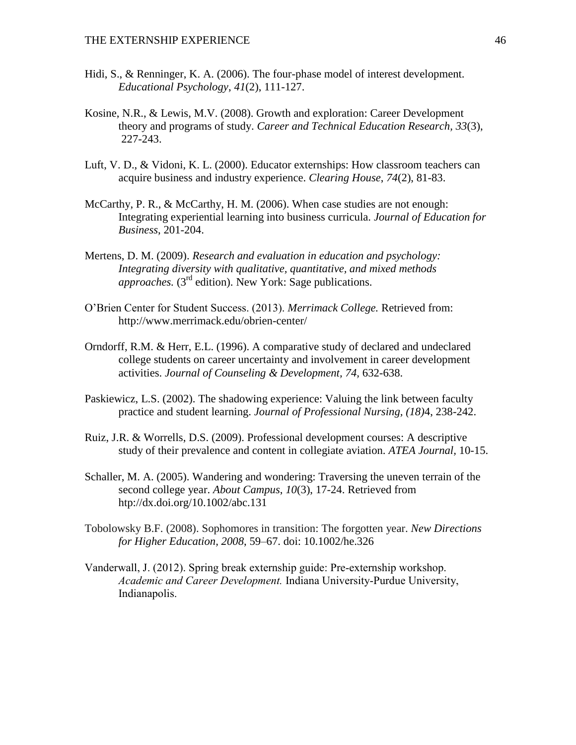- Hidi, S., & Renninger, K. A. (2006). The four-phase model of interest development. *Educational Psychology*, *41*(2), 111-127.
- Kosine, N.R., & Lewis, M.V. (2008). Growth and exploration: Career Development theory and programs of study. *Career and Technical Education Research, 33*(3), 227-243.
- Luft, V. D., & Vidoni, K. L. (2000). Educator externships: How classroom teachers can acquire business and industry experience. *Clearing House*, *74*(2), 81-83.
- McCarthy, P. R., & McCarthy, H. M. (2006). When case studies are not enough: Integrating experiential learning into business curricula. *Journal of Education for Business*, 201-204.
- Mertens, D. M. (2009). *Research and evaluation in education and psychology: Integrating diversity with qualitative, quantitative, and mixed methods approaches.*  $(3<sup>rd</sup>$  edition). New York: Sage publications.
- O'Brien Center for Student Success. (2013). *Merrimack College.* Retrieved from: http://www.merrimack.edu/obrien-center/
- Orndorff, R.M. & Herr, E.L. (1996). A comparative study of declared and undeclared college students on career uncertainty and involvement in career development activities. *Journal of Counseling & Development, 74,* 632-638.
- Paskiewicz, L.S. (2002). The shadowing experience: Valuing the link between faculty practice and student learning. *Journal of Professional Nursing, (18)*4, 238-242.
- Ruiz, J.R. & Worrells, D.S. (2009). Professional development courses: A descriptive study of their prevalence and content in collegiate aviation. *ATEA Journal,* 10-15.
- Schaller, M. A. (2005). Wandering and wondering: Traversing the uneven terrain of the second college year. *About Campus*, *10*(3), 17-24. Retrieved from htp://dx.doi.org/10.1002/abc.131
- Tobolowsky B.F. (2008). Sophomores in transition: The forgotten year. *New Directions for Higher Education, 2008*, 59–67. doi: 10.1002/he.326
- Vanderwall, J. (2012). Spring break externship guide: Pre-externship workshop. *Academic and Career Development.* Indiana University-Purdue University, Indianapolis.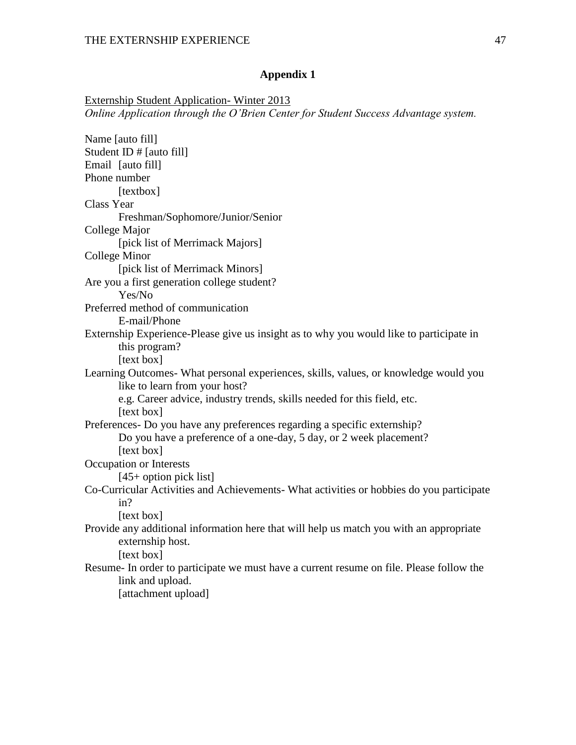Externship Student Application- Winter 2013 *Online Application through the O'Brien Center for Student Success Advantage system.*

| Name [auto fill]                                                                         |
|------------------------------------------------------------------------------------------|
| Student ID $#$ [auto fill]                                                               |
| Email [auto fill]                                                                        |
| Phone number                                                                             |
| [textbox]                                                                                |
| Class Year                                                                               |
| Freshman/Sophomore/Junior/Senior                                                         |
| College Major                                                                            |
| [pick list of Merrimack Majors]                                                          |
| <b>College Minor</b>                                                                     |
| [pick list of Merrimack Minors]                                                          |
| Are you a first generation college student?                                              |
| Yes/No                                                                                   |
| Preferred method of communication                                                        |
| E-mail/Phone                                                                             |
| Externship Experience-Please give us insight as to why you would like to participate in  |
| this program?                                                                            |
| [text box]                                                                               |
| Learning Outcomes- What personal experiences, skills, values, or knowledge would you     |
| like to learn from your host?                                                            |
| e.g. Career advice, industry trends, skills needed for this field, etc.                  |
| [text box]                                                                               |
| Preferences- Do you have any preferences regarding a specific externship?                |
| Do you have a preference of a one-day, 5 day, or 2 week placement?                       |
| [text box]                                                                               |
| Occupation or Interests                                                                  |
| $[45+$ option pick list]                                                                 |
| Co-Curricular Activities and Achievements- What activities or hobbies do you participate |
| in?                                                                                      |
| [text box]                                                                               |
| Provide any additional information here that will help us match you with an appropriate  |
| externship host.                                                                         |
| [text box]                                                                               |
| Resume- In order to participate we must have a current resume on file. Please follow the |
| link and upload.                                                                         |
| [attachment upload]                                                                      |
|                                                                                          |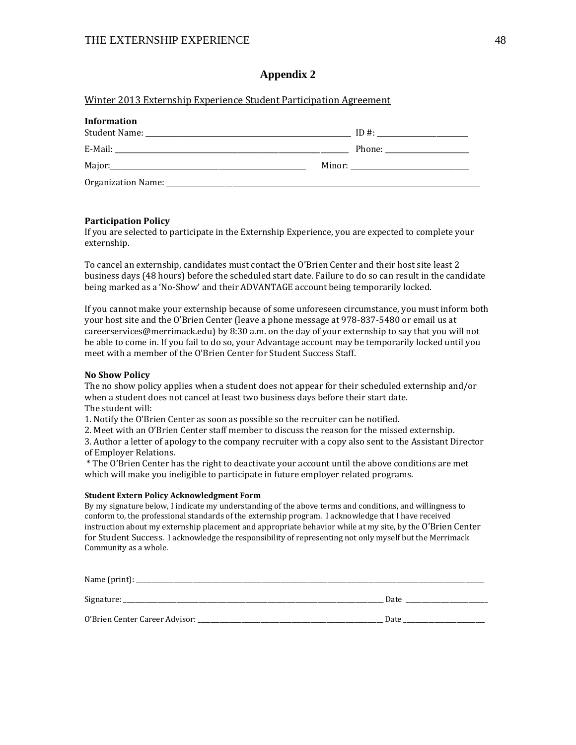#### Winter 2013 Externship Experience Student Participation Agreement

| <b>Information</b> |  |
|--------------------|--|
|                    |  |
|                    |  |
|                    |  |
|                    |  |

#### **Participation Policy**

If you are selected to participate in the Externship Experience, you are expected to complete your externship.

To cancel an externship, candidates must contact the O'Brien Center and their host site least 2 business days (48 hours) before the scheduled start date. Failure to do so can result in the candidate being marked as a 'No‐Show' and their ADVANTAGE account being temporarily locked.

If you cannot make your externship because of some unforeseen circumstance, you must inform both your host site and the O'Brien Center (leave a phone message at 978-837-5480 or email us at careerservices@merrimack.edu) by 8:30 a.m. on the day of your externship to say that you will not be able to come in. If you fail to do so, your Advantage account may be temporarily locked until you meet with a member of the O'Brien Center for Student Success Staff.

#### **No Show Policy**

The no show policy applies when a student does not appear for their scheduled externship and/or when a student does not cancel at least two business days before their start date. The student will:

1. Notify the O'Brien Center as soon as possible so the recruiter can be notified.

2. Meet with an O'Brien Center staff member to discuss the reason for the missed externship. 3. Author a letter of apology to the company recruiter with a copy also sent to the Assistant Director of Employer Relations.

\* The O'Brien Center has the right to deactivate your account until the above conditions are met which will make you ineligible to participate in future employer related programs.

#### **Student Extern Policy Acknowledgment Form**

By my signature below, I indicate my understanding of the above terms and conditions, and willingness to conform to, the professional standards of the externship program. I acknowledge that I have received instruction about my externship placement and appropriate behavior while at my site, by the O'Brien Center for Student Success. I acknowledge the responsibility of representing not only myself but the Merrimack Community as a whole.

| Name (print):                  |      |
|--------------------------------|------|
| Signature:                     | Date |
| O'Brien Center Career Advisor: | Date |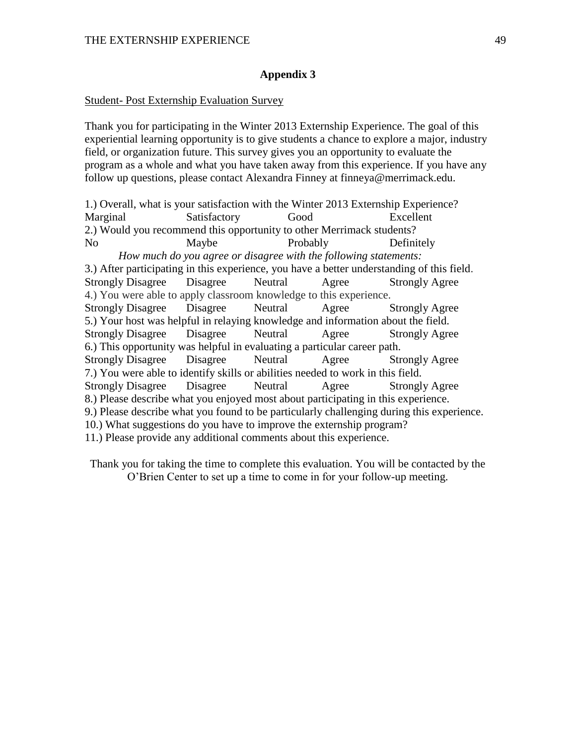#### Student- Post Externship Evaluation Survey

Thank you for participating in the Winter 2013 Externship Experience. The goal of this experiential learning opportunity is to give students a chance to explore a major, industry field, or organization future. This survey gives you an opportunity to evaluate the program as a whole and what you have taken away from this experience. If you have any follow up questions, please contact Alexandra Finney at finneya@merrimack.edu.

1.) Overall, what is your satisfaction with the Winter 2013 Externship Experience? Marginal Satisfactory Good Excellent 2.) Would you recommend this opportunity to other Merrimack students? No Maybe Probably Definitely *How much do you agree or disagree with the following statements:* 3.) After participating in this experience, you have a better understanding of this field. Strongly Disagree Disagree Neutral Agree Strongly Agree 4.) You were able to apply classroom knowledge to this experience. Strongly Disagree Disagree Neutral Agree Strongly Agree 5.) Your host was helpful in relaying knowledge and information about the field. Strongly Disagree Disagree Neutral Agree Strongly Agree 6.) This opportunity was helpful in evaluating a particular career path. Strongly Disagree Disagree Neutral Agree Strongly Agree 7.) You were able to identify skills or abilities needed to work in this field. Strongly Disagree Disagree Neutral Agree Strongly Agree 8.) Please describe what you enjoyed most about participating in this experience. 9.) Please describe what you found to be particularly challenging during this experience. 10.) What suggestions do you have to improve the externship program? 11.) Please provide any additional comments about this experience.

Thank you for taking the time to complete this evaluation. You will be contacted by the O'Brien Center to set up a time to come in for your follow-up meeting.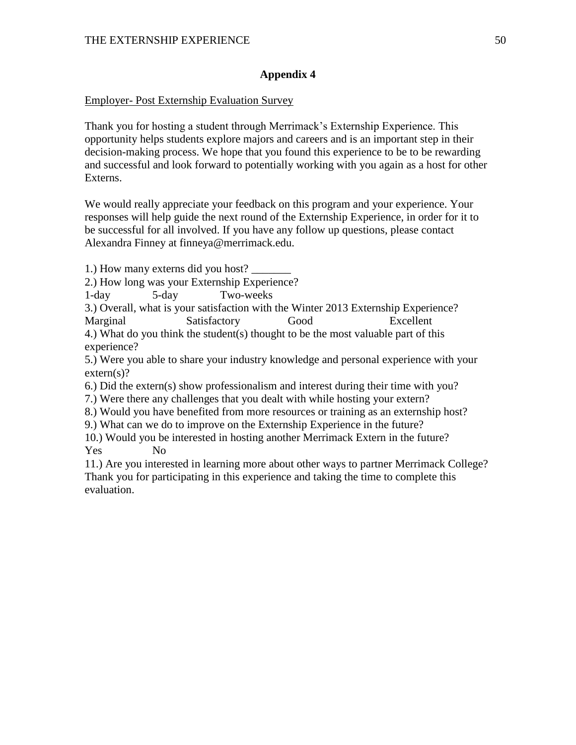# Employer- Post Externship Evaluation Survey

Thank you for hosting a student through Merrimack's Externship Experience. This opportunity helps students explore majors and careers and is an important step in their decision-making process. We hope that you found this experience to be to be rewarding and successful and look forward to potentially working with you again as a host for other Externs.

We would really appreciate your feedback on this program and your experience. Your responses will help guide the next round of the Externship Experience, in order for it to be successful for all involved. If you have any follow up questions, please contact Alexandra Finney at finneya@merrimack.edu.

1.) How many externs did you host?

2.) How long was your Externship Experience?

1-day 5-day Two-weeks

3.) Overall, what is your satisfaction with the Winter 2013 Externship Experience? Marginal Satisfactory Good Excellent

4.) What do you think the student(s) thought to be the most valuable part of this experience?

5.) Were you able to share your industry knowledge and personal experience with your extern(s)?

6.) Did the extern(s) show professionalism and interest during their time with you?

7.) Were there any challenges that you dealt with while hosting your extern?

8.) Would you have benefited from more resources or training as an externship host?

9.) What can we do to improve on the Externship Experience in the future?

10.) Would you be interested in hosting another Merrimack Extern in the future? Yes No

11.) Are you interested in learning more about other ways to partner Merrimack College? Thank you for participating in this experience and taking the time to complete this evaluation.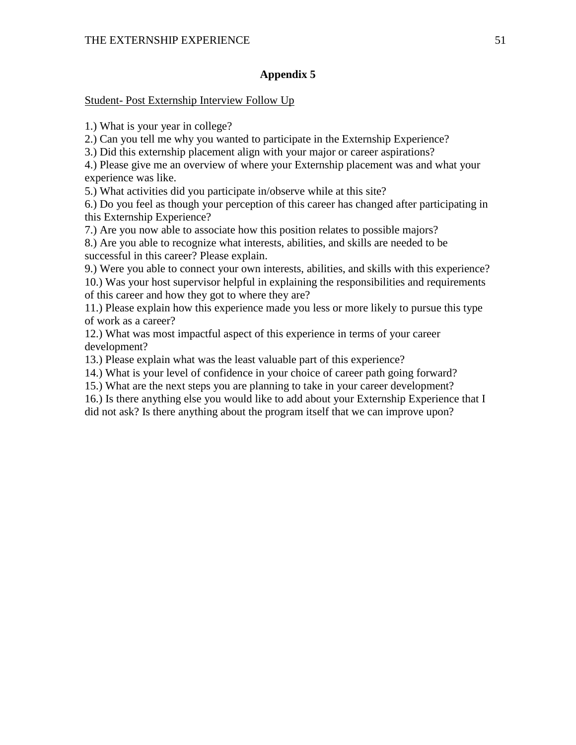## Student- Post Externship Interview Follow Up

1.) What is your year in college?

2.) Can you tell me why you wanted to participate in the Externship Experience?

3.) Did this externship placement align with your major or career aspirations?

4.) Please give me an overview of where your Externship placement was and what your experience was like.

5.) What activities did you participate in/observe while at this site?

6.) Do you feel as though your perception of this career has changed after participating in this Externship Experience?

7.) Are you now able to associate how this position relates to possible majors?

8.) Are you able to recognize what interests, abilities, and skills are needed to be successful in this career? Please explain.

9.) Were you able to connect your own interests, abilities, and skills with this experience? 10.) Was your host supervisor helpful in explaining the responsibilities and requirements of this career and how they got to where they are?

11.) Please explain how this experience made you less or more likely to pursue this type of work as a career?

12.) What was most impactful aspect of this experience in terms of your career development?

13.) Please explain what was the least valuable part of this experience?

14.) What is your level of confidence in your choice of career path going forward?

15.) What are the next steps you are planning to take in your career development?

16.) Is there anything else you would like to add about your Externship Experience that I did not ask? Is there anything about the program itself that we can improve upon?